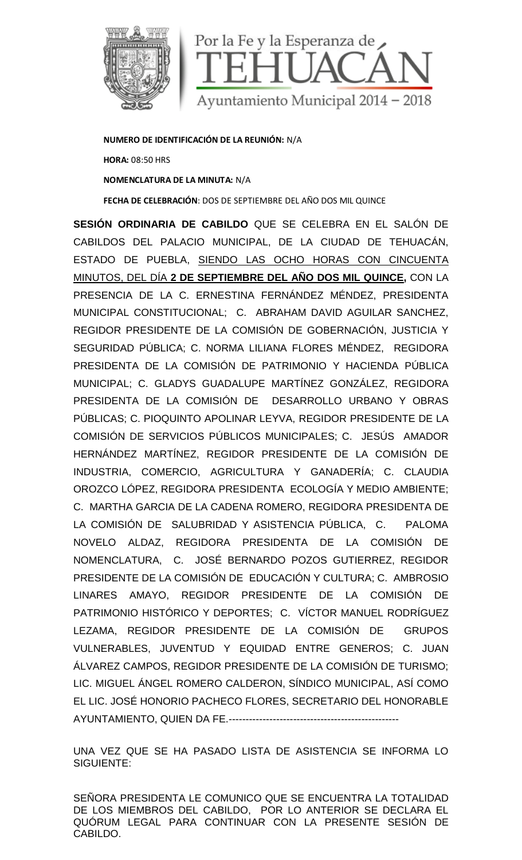

**NUMERO DE IDENTIFICACIÓN DE LA REUNIÓN:** N/A **HORA:** 08:50 HRS **NOMENCLATURA DE LA MINUTA:** N/A **FECHA DE CELEBRACIÓN**: DOS DE SEPTIEMBRE DEL AÑO DOS MIL QUINCE

**SESIÓN ORDINARIA DE CABILDO** QUE SE CELEBRA EN EL SALÓN DE CABILDOS DEL PALACIO MUNICIPAL, DE LA CIUDAD DE TEHUACÁN, ESTADO DE PUEBLA, SIENDO LAS OCHO HORAS CON CINCUENTA MINUTOS, DEL DÍA **2 DE SEPTIEMBRE DEL AÑO DOS MIL QUINCE,** CON LA PRESENCIA DE LA C. ERNESTINA FERNÁNDEZ MÉNDEZ, PRESIDENTA MUNICIPAL CONSTITUCIONAL; C. ABRAHAM DAVID AGUILAR SANCHEZ, REGIDOR PRESIDENTE DE LA COMISIÓN DE GOBERNACIÓN, JUSTICIA Y SEGURIDAD PÚBLICA; C. NORMA LILIANA FLORES MÉNDEZ, REGIDORA PRESIDENTA DE LA COMISIÓN DE PATRIMONIO Y HACIENDA PÚBLICA MUNICIPAL; C. GLADYS GUADALUPE MARTÍNEZ GONZÁLEZ, REGIDORA PRESIDENTA DE LA COMISIÓN DE DESARROLLO URBANO Y OBRAS PÚBLICAS; C. PIOQUINTO APOLINAR LEYVA, REGIDOR PRESIDENTE DE LA COMISIÓN DE SERVICIOS PÚBLICOS MUNICIPALES; C. JESÚS AMADOR HERNÁNDEZ MARTÍNEZ, REGIDOR PRESIDENTE DE LA COMISIÓN DE INDUSTRIA, COMERCIO, AGRICULTURA Y GANADERÍA; C. CLAUDIA OROZCO LÓPEZ, REGIDORA PRESIDENTA ECOLOGÍA Y MEDIO AMBIENTE; C. MARTHA GARCIA DE LA CADENA ROMERO, REGIDORA PRESIDENTA DE LA COMISIÓN DE SALUBRIDAD Y ASISTENCIA PÚBLICA, C. PALOMA NOVELO ALDAZ, REGIDORA PRESIDENTA DE LA COMISIÓN DE NOMENCLATURA, C. JOSÉ BERNARDO POZOS GUTIERREZ, REGIDOR PRESIDENTE DE LA COMISIÓN DE EDUCACIÓN Y CULTURA; C. AMBROSIO LINARES AMAYO, REGIDOR PRESIDENTE DE LA COMISIÓN DE PATRIMONIO HISTÓRICO Y DEPORTES; C. VÍCTOR MANUEL RODRÍGUEZ LEZAMA, REGIDOR PRESIDENTE DE LA COMISIÓN DE GRUPOS VULNERABLES, JUVENTUD Y EQUIDAD ENTRE GENEROS; C. JUAN ÁLVAREZ CAMPOS, REGIDOR PRESIDENTE DE LA COMISIÓN DE TURISMO; LIC. MIGUEL ÁNGEL ROMERO CALDERON, SÍNDICO MUNICIPAL, ASÍ COMO EL LIC. JOSÉ HONORIO PACHECO FLORES, SECRETARIO DEL HONORABLE AYUNTAMIENTO, QUIEN DA FE.--------------------------------------------------

UNA VEZ QUE SE HA PASADO LISTA DE ASISTENCIA SE INFORMA LO SIGUIENTE:

SEÑORA PRESIDENTA LE COMUNICO QUE SE ENCUENTRA LA TOTALIDAD DE LOS MIEMBROS DEL CABILDO, POR LO ANTERIOR SE DECLARA EL QUÓRUM LEGAL PARA CONTINUAR CON LA PRESENTE SESIÓN DE CABILDO.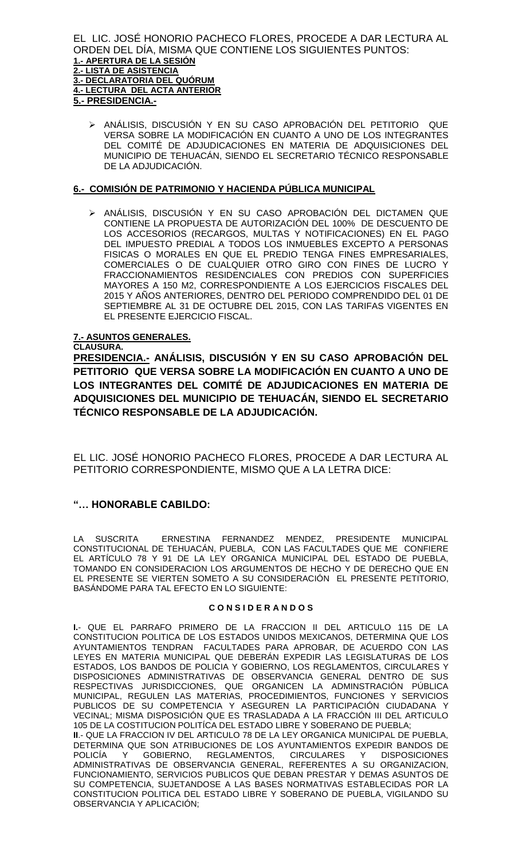EL LIC. JOSÉ HONORIO PACHECO FLORES, PROCEDE A DAR LECTURA AL ORDEN DEL DÍA, MISMA QUE CONTIENE LOS SIGUIENTES PUNTOS: **1.- APERTURA DE LA SESIÓN 2.- LISTA DE ASISTENCIA 3.- DECLARATORIA DEL QUÓRUM 4.- LECTURA DEL ACTA ANTERIOR 5.- PRESIDENCIA.-**

 ANÁLISIS, DISCUSIÓN Y EN SU CASO APROBACIÓN DEL PETITORIO QUE VERSA SOBRE LA MODIFICACIÓN EN CUANTO A UNO DE LOS INTEGRANTES DEL COMITÉ DE ADJUDICACIONES EN MATERIA DE ADQUISICIONES DEL MUNICIPIO DE TEHUACÁN, SIENDO EL SECRETARIO TÉCNICO RESPONSABLE DE LA ADJUDICACIÓN.

## **6.- COMISIÓN DE PATRIMONIO Y HACIENDA PÚBLICA MUNICIPAL**

 ANÁLISIS, DISCUSIÓN Y EN SU CASO APROBACIÓN DEL DICTAMEN QUE CONTIENE LA PROPUESTA DE AUTORIZACIÓN DEL 100% DE DESCUENTO DE LOS ACCESORIOS (RECARGOS, MULTAS Y NOTIFICACIONES) EN EL PAGO DEL IMPUESTO PREDIAL A TODOS LOS INMUEBLES EXCEPTO A PERSONAS FISICAS O MORALES EN QUE EL PREDIO TENGA FINES EMPRESARIALES, COMERCIALES O DE CUALQUIER OTRO GIRO CON FINES DE LUCRO Y FRACCIONAMIENTOS RESIDENCIALES CON PREDIOS CON SUPERFICIES MAYORES A 150 M2, CORRESPONDIENTE A LOS EJERCICIOS FISCALES DEL 2015 Y AÑOS ANTERIORES, DENTRO DEL PERIODO COMPRENDIDO DEL 01 DE SEPTIEMBRE AL 31 DE OCTUBRE DEL 2015, CON LAS TARIFAS VIGENTES EN EL PRESENTE EJERCICIO FISCAL.

## **7.- ASUNTOS GENERALES.**

**CLAUSURA. PRESIDENCIA.- ANÁLISIS, DISCUSIÓN Y EN SU CASO APROBACIÓN DEL PETITORIO QUE VERSA SOBRE LA MODIFICACIÓN EN CUANTO A UNO DE LOS INTEGRANTES DEL COMITÉ DE ADJUDICACIONES EN MATERIA DE ADQUISICIONES DEL MUNICIPIO DE TEHUACÁN, SIENDO EL SECRETARIO** 

**TÉCNICO RESPONSABLE DE LA ADJUDICACIÓN.**

EL LIC. JOSÉ HONORIO PACHECO FLORES, PROCEDE A DAR LECTURA AL PETITORIO CORRESPONDIENTE, MISMO QUE A LA LETRA DICE:

# **"… HONORABLE CABILDO:**

LA SUSCRITA ERNESTINA FERNANDEZ MENDEZ, PRESIDENTE MUNICIPAL CONSTITUCIONAL DE TEHUACÁN, PUEBLA, CON LAS FACULTADES QUE ME CONFIERE EL ARTÍCULO 78 Y 91 DE LA LEY ORGANICA MUNICIPAL DEL ESTADO DE PUEBLA, TOMANDO EN CONSIDERACION LOS ARGUMENTOS DE HECHO Y DE DERECHO QUE EN EL PRESENTE SE VIERTEN SOMETO A SU CONSIDERACIÓN EL PRESENTE PETITORIO, BASÁNDOME PARA TAL EFECTO EN LO SIGUIENTE:

## **C O N S I D E R A N D O S**

**I.**- QUE EL PARRAFO PRIMERO DE LA FRACCION II DEL ARTICULO 115 DE LA CONSTITUCION POLITICA DE LOS ESTADOS UNIDOS MEXICANOS, DETERMINA QUE LOS AYUNTAMIENTOS TENDRAN FACULTADES PARA APROBAR, DE ACUERDO CON LAS LEYES EN MATERIA MUNICIPAL QUE DEBERÁN EXPEDIR LAS LEGISLATURAS DE LOS ESTADOS, LOS BANDOS DE POLICIA Y GOBIERNO, LOS REGLAMENTOS, CIRCULARES Y DISPOSICIONES ADMINISTRATIVAS DE OBSERVANCIA GENERAL DENTRO DE SUS RESPECTIVAS JURISDICCIONES, QUE ORGANICEN LA ADMINSTRACIÓN PÚBLICA MUNICIPAL, REGULEN LAS MATERIAS, PROCEDIMIENTOS, FUNCIONES Y SERVICIOS PUBLICOS DE SU COMPETENCIA Y ASEGUREN LA PARTICIPACIÓN CIUDADANA Y VECINAL; MISMA DISPOSICIÓN QUE ES TRASLADADA A LA FRACCIÓN III DEL ARTICULO 105 DE LA COSTITUCION POLITÍCA DEL ESTADO LIBRE Y SOBERANO DE PUEBLA; **II**.- QUE LA FRACCION IV DEL ARTICULO 78 DE LA LEY ORGANICA MUNICIPAL DE PUEBLA,

DETERMINA QUE SON ATRIBUCIONES DE LOS AYUNTAMIENTOS EXPEDIR BANDOS DE POLICÍA Y GOBIERNO, REGLAMENTOS, CIRCULARES Y DISPOSICIONES ADMINISTRATIVAS DE OBSERVANCIA GENERAL, REFERENTES A SU ORGANIZACION, FUNCIONAMIENTO, SERVICIOS PUBLICOS QUE DEBAN PRESTAR Y DEMAS ASUNTOS DE SU COMPETENCIA, SUJETANDOSE A LAS BASES NORMATIVAS ESTABLECIDAS POR LA CONSTITUCION POLITICA DEL ESTADO LIBRE Y SOBERANO DE PUEBLA, VIGILANDO SU OBSERVANCIA Y APLICACIÓN;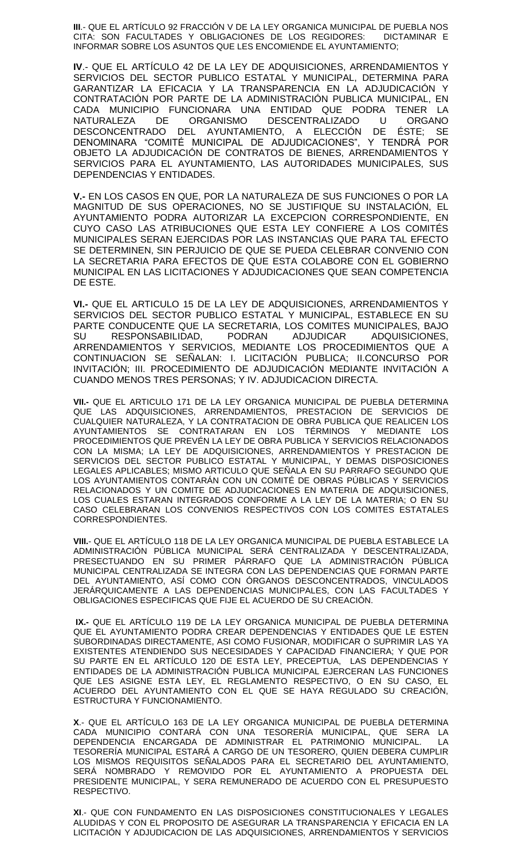**III**.- QUE EL ARTÍCULO 92 FRACCIÓN V DE LA LEY ORGANICA MUNICIPAL DE PUEBLA NOS CITA: SON FACULTADES Y OBLIGACIONES DE LOS REGIDORES: DICTAMINAR E INFORMAR SOBRE LOS ASUNTOS QUE LES ENCOMIENDE EL AYUNTAMIENTO;

**IV**.- QUE EL ARTÍCULO 42 DE LA LEY DE ADQUISICIONES, ARRENDAMIENTOS Y SERVICIOS DEL SECTOR PUBLICO ESTATAL Y MUNICIPAL, DETERMINA PARA GARANTIZAR LA EFICACIA Y LA TRANSPARENCIA EN LA ADJUDICACIÓN Y CONTRATACIÓN POR PARTE DE LA ADMINISTRACIÓN PUBLICA MUNICIPAL, EN CADA MUNICIPIO FUNCIONARA UNA ENTIDAD QUE PODRA TENER LA NATURALEZA DE ORGANISMO DESCENTRALIZADO U ORGANO DESCONCENTRADO DEL AYUNTAMIENTO, A ELECCIÓN DE ÉSTE; SE DENOMINARA "COMITÉ MUNICIPAL DE ADJUDICACIONES", Y TENDRÁ POR OBJETO LA ADJUDICACIÓN DE CONTRATOS DE BIENES, ARRENDAMIENTOS Y SERVICIOS PARA EL AYUNTAMIENTO, LAS AUTORIDADES MUNICIPALES, SUS DEPENDENCIAS Y ENTIDADES.

**V.-** EN LOS CASOS EN QUE, POR LA NATURALEZA DE SUS FUNCIONES O POR LA MAGNITUD DE SUS OPERACIONES, NO SE JUSTIFIQUE SU INSTALACIÓN, EL AYUNTAMIENTO PODRA AUTORIZAR LA EXCEPCION CORRESPONDIENTE, EN CUYO CASO LAS ATRIBUCIONES QUE ESTA LEY CONFIERE A LOS COMITÉS MUNICIPALES SERAN EJERCIDAS POR LAS INSTANCIAS QUE PARA TAL EFECTO SE DETERMINEN, SIN PERJUICIO DE QUE SE PUEDA CELEBRAR CONVENIO CON LA SECRETARIA PARA EFECTOS DE QUE ESTA COLABORE CON EL GOBIERNO MUNICIPAL EN LAS LICITACIONES Y ADJUDICACIONES QUE SEAN COMPETENCIA DE ESTE.

**VI.-** QUE EL ARTICULO 15 DE LA LEY DE ADQUISICIONES, ARRENDAMIENTOS Y SERVICIOS DEL SECTOR PUBLICO ESTATAL Y MUNICIPAL, ESTABLECE EN SU PARTE CONDUCENTE QUE LA SECRETARIA, LOS COMITES MUNICIPALES, BAJO SU RESPONSABILIDAD, PODRAN ADJUDICAR ADQUISICIONES, ARRENDAMIENTOS Y SERVICIOS, MEDIANTE LOS PROCEDIMIENTOS QUE A CONTINUACION SE SEÑALAN: I. LICITACIÓN PUBLICA; II.CONCURSO POR INVITACIÓN; III. PROCEDIMIENTO DE ADJUDICACIÓN MEDIANTE INVITACIÓN A CUANDO MENOS TRES PERSONAS; Y IV. ADJUDICACION DIRECTA.

**VII.-** QUE EL ARTICULO 171 DE LA LEY ORGANICA MUNICIPAL DE PUEBLA DETERMINA QUE LAS ADQUISICIONES, ARRENDAMIENTOS, PRESTACION DE SERVICIOS DE CUALQUIER NATURALEZA, Y LA CONTRATACION DE OBRA PUBLICA QUE REALICEN LOS AYUNTAMIENTOS SE CONTRATARAN EN LOS TÉRMINOS Y MEDIANTE LOS PROCEDIMIENTOS QUE PREVÉN LA LEY DE OBRA PUBLICA Y SERVICIOS RELACIONADOS CON LA MISMA; LA LEY DE ADQUISICIONES, ARRENDAMIENTOS Y PRESTACION DE SERVICIOS DEL SECTOR PUBLICO ESTATAL Y MUNICIPAL, Y DEMAS DISPOSICIONES LEGALES APLICABLES; MISMO ARTICULO QUE SEÑALA EN SU PARRAFO SEGUNDO QUE LOS AYUNTAMIENTOS CONTARÁN CON UN COMITÉ DE OBRAS PÚBLICAS Y SERVICIOS RELACIONADOS Y UN COMITE DE ADJUDICACIONES EN MATERIA DE ADQUISICIONES, LOS CUALES ESTARAN INTEGRADOS CONFORME A LA LEY DE LA MATERIA; O EN SU CASO CELEBRARAN LOS CONVENIOS RESPECTIVOS CON LOS COMITES ESTATALES CORRESPONDIENTES.

**VIII.**- QUE EL ARTÍCULO 118 DE LA LEY ORGANICA MUNICIPAL DE PUEBLA ESTABLECE LA ADMINISTRACIÓN PÚBLICA MUNICIPAL SERÁ CENTRALIZADA Y DESCENTRALIZADA, PRESECTUANDO EN SU PRIMER PÁRRAFO QUE LA ADMINISTRACIÓN PÚBLICA MUNICIPAL CENTRALIZADA SE INTEGRA CON LAS DEPENDENCIAS QUE FORMAN PARTE DEL AYUNTAMIENTO, ASÍ COMO CON ÓRGANOS DESCONCENTRADOS, VINCULADOS JERÁRQUICAMENTE A LAS DEPENDENCIAS MUNICIPALES, CON LAS FACULTADES Y OBLIGACIONES ESPECIFICAS QUE FIJE EL ACUERDO DE SU CREACIÓN.

**IX.-** QUE EL ARTÍCULO 119 DE LA LEY ORGANICA MUNICIPAL DE PUEBLA DETERMINA QUE EL AYUNTAMIENTO PODRA CREAR DEPENDENCIAS Y ENTIDADES QUE LE ESTEN SUBORDINADAS DIRECTAMENTE, ASI COMO FUSIONAR, MODIFICAR O SUPRIMIR LAS YA EXISTENTES ATENDIENDO SUS NECESIDADES Y CAPACIDAD FINANCIERA; Y QUE POR SU PARTE EN EL ARTÍCULO 120 DE ESTA LEY, PRECEPTUA, LAS DEPENDENCIAS Y ENTIDADES DE LA ADMINISTRACIÓN PUBLICA MUNICIPAL EJERCERAN LAS FUNCIONES QUE LES ASIGNE ESTA LEY, EL REGLAMENTO RESPECTIVO, O EN SU CASO, EL ACUERDO DEL AYUNTAMIENTO CON EL QUE SE HAYA REGULADO SU CREACIÓN, ESTRUCTURA Y FUNCIONAMIENTO.

**X**.- QUE EL ARTÍCULO 163 DE LA LEY ORGANICA MUNICIPAL DE PUEBLA DETERMINA CADA MUNICIPIO CONTARÁ CON UNA TESORERÍA MUNICIPAL, QUE SERA LA DEPENDENCIA ENCARGADA DE ADMINISTRAR EL PATRIMONIO MUNICIPAL. LA TESORERÍA MUNICIPAL ESTARÁ A CARGO DE UN TESORERO, QUIEN DEBERA CUMPLIR LOS MISMOS REQUISITOS SEÑALADOS PARA EL SECRETARIO DEL AYUNTAMIENTO, SERÁ NOMBRADO Y REMOVIDO POR EL AYUNTAMIENTO A PROPUESTA DEL PRESIDENTE MUNICIPAL, Y SERA REMUNERADO DE ACUERDO CON EL PRESUPUESTO RESPECTIVO.

**XI**.- QUE CON FUNDAMENTO EN LAS DISPOSICIONES CONSTITUCIONALES Y LEGALES ALUDIDAS Y CON EL PROPOSITO DE ASEGURAR LA TRANSPARENCIA Y EFICACIA EN LA LICITACIÓN Y ADJUDICACION DE LAS ADQUISICIONES, ARRENDAMIENTOS Y SERVICIOS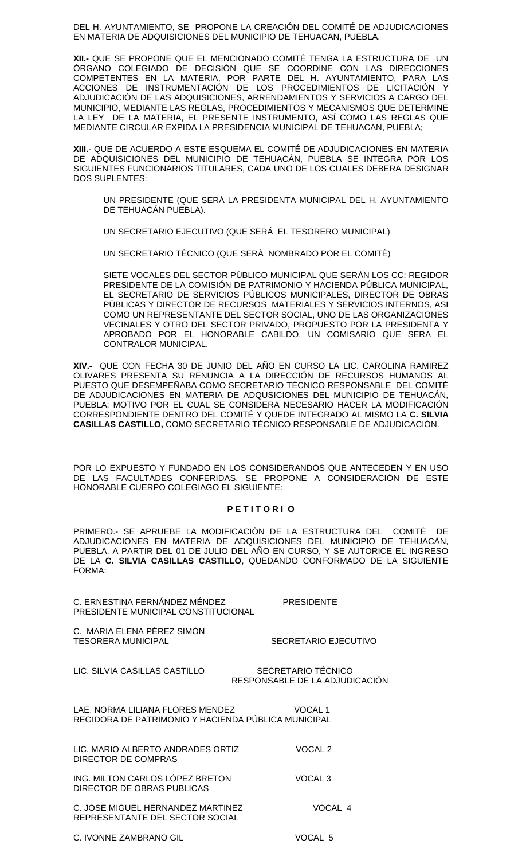DEL H. AYUNTAMIENTO, SE PROPONE LA CREACIÓN DEL COMITÉ DE ADJUDICACIONES EN MATERIA DE ADQUISICIONES DEL MUNICIPIO DE TEHUACAN, PUEBLA.

**XII.-** QUE SE PROPONE QUE EL MENCIONADO COMITÉ TENGA LA ESTRUCTURA DE UN ÓRGANO COLEGIADO DE DECISIÓN QUE SE COORDINE CON LAS DIRECCIONES COMPETENTES EN LA MATERIA, POR PARTE DEL H. AYUNTAMIENTO, PARA LAS ACCIONES DE INSTRUMENTACIÓN DE LOS PROCEDIMIENTOS DE LICITACIÓN Y ADJUDICACIÓN DE LAS ADQUISICIONES, ARRENDAMIENTOS Y SERVICIOS A CARGO DEL MUNICIPIO, MEDIANTE LAS REGLAS, PROCEDIMIENTOS Y MECANISMOS QUE DETERMINE LA LEY DE LA MATERIA, EL PRESENTE INSTRUMENTO, ASÍ COMO LAS REGLAS QUE MEDIANTE CIRCULAR EXPIDA LA PRESIDENCIA MUNICIPAL DE TEHUACAN, PUEBLA;

**XIII.**- QUE DE ACUERDO A ESTE ESQUEMA EL COMITÉ DE ADJUDICACIONES EN MATERIA DE ADQUISICIONES DEL MUNICIPIO DE TEHUACÁN, PUEBLA SE INTEGRA POR LOS SIGUIENTES FUNCIONARIOS TITULARES, CADA UNO DE LOS CUALES DEBERA DESIGNAR DOS SUPLENTES:

UN PRESIDENTE (QUE SERÁ LA PRESIDENTA MUNICIPAL DEL H. AYUNTAMIENTO DE TEHUACÁN PUEBLA).

UN SECRETARIO EJECUTIVO (QUE SERÁ EL TESORERO MUNICIPAL)

UN SECRETARIO TÉCNICO (QUE SERÁ NOMBRADO POR EL COMITÉ)

SIETE VOCALES DEL SECTOR PÚBLICO MUNICIPAL QUE SERÁN LOS CC: REGIDOR PRESIDENTE DE LA COMISIÓN DE PATRIMONIO Y HACIENDA PÚBLICA MUNICIPAL, EL SECRETARIO DE SERVICIOS PÚBLICOS MUNICIPALES, DIRECTOR DE OBRAS PÚBLICAS Y DIRECTOR DE RECURSOS MATERIALES Y SERVICIOS INTERNOS, ASI COMO UN REPRESENTANTE DEL SECTOR SOCIAL, UNO DE LAS ORGANIZACIONES VECINALES Y OTRO DEL SECTOR PRIVADO, PROPUESTO POR LA PRESIDENTA Y APROBADO POR EL HONORABLE CABILDO, UN COMISARIO QUE SERA EL CONTRALOR MUNICIPAL.

**XIV.-** QUE CON FECHA 30 DE JUNIO DEL AÑO EN CURSO LA LIC. CAROLINA RAMIREZ OLIVARES PRESENTA SU RENUNCIA A LA DIRECCIÓN DE RECURSOS HUMANOS AL PUESTO QUE DESEMPEÑABA COMO SECRETARIO TÉCNICO RESPONSABLE DEL COMITÉ DE ADJUDICACIONES EN MATERIA DE ADQUSICIONES DEL MUNICIPIO DE TEHUACÁN, PUEBLA; MOTIVO POR EL CUAL SE CONSIDERA NECESARIO HACER LA MODIFICACIÓN CORRESPONDIENTE DENTRO DEL COMITÉ Y QUEDE INTEGRADO AL MISMO LA **C. SILVIA CASILLAS CASTILLO,** COMO SECRETARIO TÉCNICO RESPONSABLE DE ADJUDICACIÓN.

POR LO EXPUESTO Y FUNDADO EN LOS CONSIDERANDOS QUE ANTECEDEN Y EN USO DE LAS FACULTADES CONFERIDAS, SE PROPONE A CONSIDERACIÓN DE ESTE HONORABLE CUERPO COLEGIAGO EL SIGUIENTE:

#### **P E T I T O R I O**

PRIMERO.- SE APRUEBE LA MODIFICACIÓN DE LA ESTRUCTURA DEL COMITÉ DE ADJUDICACIONES EN MATERIA DE ADQUISICIONES DEL MUNICIPIO DE TEHUACÁN, PUEBLA, A PARTIR DEL 01 DE JULIO DEL AÑO EN CURSO, Y SE AUTORICE EL INGRESO DE LA **C. SILVIA CASILLAS CASTILLO**, QUEDANDO CONFORMADO DE LA SIGUIENTE FORMA:

C. ERNESTINA FERNÁNDEZ MÉNDEZ PRESIDENTE PRESIDENTE MUNICIPAL CONSTITUCIONAL C. MARIA ELENA PÉREZ SIMÓN<br>TESORERA MUNICIPAL SECRETARIO EJECUTIVO LIC. SILVIA CASILLAS CASTILLO SECRETARIO TÉCNICO RESPONSABLE DE LA ADJUDICACIÓN LAE. NORMA LILIANA FLORES MENDEZ VOCAL 1 REGIDORA DE PATRIMONIO Y HACIENDA PÚBLICA MUNICIPAL LIC. MARIO ALBERTO ANDRADES ORTIZ VOCAL 2 DIRECTOR DE COMPRAS ING. MILTON CARLOS LÓPEZ BRETON VOCAL 3 DIRECTOR DE OBRAS PUBLICAS C. JOSE MIGUEL HERNANDEZ MARTINEZ VOCAL 4 REPRESENTANTE DEL SECTOR SOCIAL C. IVONNE ZAMBRANO GIL VOCAL 5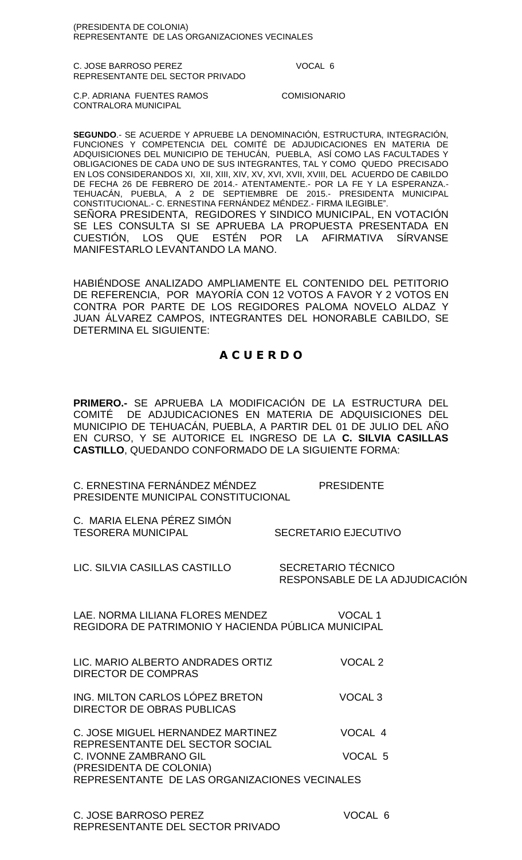(PRESIDENTA DE COLONIA) REPRESENTANTE DE LAS ORGANIZACIONES VECINALES

C. JOSE BARROSO PEREZ VOCAL 6 REPRESENTANTE DEL SECTOR PRIVADO

C.P. ADRIANA FUENTES RAMOS COMISIONARIO CONTRALORA MUNICIPAL

**SEGUNDO**.- SE ACUERDE Y APRUEBE LA DENOMINACIÓN, ESTRUCTURA, INTEGRACIÓN, FUNCIONES Y COMPETENCIA DEL COMITÉ DE ADJUDICACIONES EN MATERIA DE ADQUISICIONES DEL MUNICIPIO DE TEHUCÁN, PUEBLA, ASÍ COMO LAS FACULTADES Y OBLIGACIONES DE CADA UNO DE SUS INTEGRANTES, TAL Y COMO QUEDO PRECISADO EN LOS CONSIDERANDOS XI, XII, XIII, XIV, XV, XVI, XVII, XVIII, DEL ACUERDO DE CABILDO DE FECHA 26 DE FEBRERO DE 2014.- ATENTAMENTE.- POR LA FE Y LA ESPERANZA.- TEHUACÁN, PUEBLA, A 2 DE SEPTIEMBRE DE 2015.- PRESIDENTA MUNICIPAL CONSTITUCIONAL.- C. ERNESTINA FERNÁNDEZ MÉNDEZ.- FIRMA ILEGIBLE". SENORA PRESIDENTA, REGIDORES Y SINDICO MUNICIPAL, EN VOTACIÓN SE LES CONSULTA SI SE APRUEBA LA PROPUESTA PRESENTADA EN CUESTIÓN, LOS QUE ESTÉN POR LA AFIRMATIVA SÍRVANSE MANIFESTARLO LEVANTANDO LA MANO.

HABIÉNDOSE ANALIZADO AMPLIAMENTE EL CONTENIDO DEL PETITORIO DE REFERENCIA, POR MAYORÍA CON 12 VOTOS A FAVOR Y 2 VOTOS EN CONTRA POR PARTE DE LOS REGIDORES PALOMA NOVELO ALDAZ Y JUAN ÁLVAREZ CAMPOS, INTEGRANTES DEL HONORABLE CABILDO, SE DETERMINA EL SIGUIENTE:

# **A C U E R D O**

**PRIMERO.-** SE APRUEBA LA MODIFICACIÓN DE LA ESTRUCTURA DEL COMITÉ DE ADJUDICACIONES EN MATERIA DE ADQUISICIONES DEL MUNICIPIO DE TEHUACÁN, PUEBLA, A PARTIR DEL 01 DE JULIO DEL AÑO EN CURSO, Y SE AUTORICE EL INGRESO DE LA **C. SILVIA CASILLAS CASTILLO**, QUEDANDO CONFORMADO DE LA SIGUIENTE FORMA:

| C. ERNESTINA FERNÁNDEZ MÉNDEZ       | <b>PRESIDENTE</b> |
|-------------------------------------|-------------------|
| PRESIDENTE MUNICIPAL CONSTITUCIONAL |                   |

C. MARIA ELENA PÉREZ SIMÓN TESORERA MUNICIPAL SECRETARIO EJECUTIVO

LIC. SILVIA CASILLAS CASTILLO SECRETARIO TÉCNICO

RESPONSABLE DE LA ADJUDICACIÓN

LAE. NORMA LILIANA FLORES MENDEZ VOCAL 1 REGIDORA DE PATRIMONIO Y HACIENDA PÚBLICA MUNICIPAL

| LIC. MARIO ALBERTO ANDRADES ORTIZ<br>DIRECTOR DE COMPRAS      | VOCAL <sub>2</sub> |
|---------------------------------------------------------------|--------------------|
| ING. MILTON CARLOS LÓPEZ BRETON<br>DIRECTOR DE OBRAS PUBLICAS | VOCAL <sub>3</sub> |
| C. JOSE MIGUEL HERNANDEZ MARTINEZ                             | VOCAL 4            |

REPRESENTANTE DEL SECTOR SOCIAL C. IVONNE ZAMBRANO GIL VOCAL 5 (PRESIDENTA DE COLONIA) REPRESENTANTE DE LAS ORGANIZACIONES VECINALES

C. JOSE BARROSO PEREZ VOCAL 6 REPRESENTANTE DEL SECTOR PRIVADO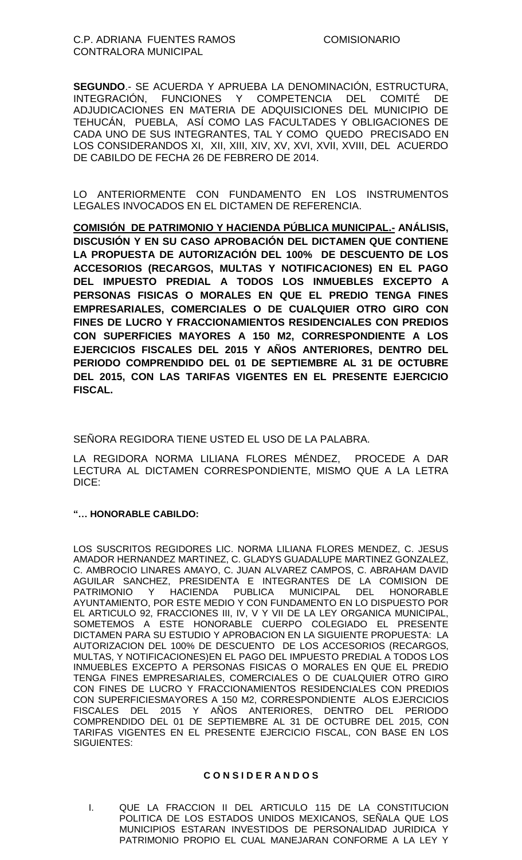**SEGUNDO**.- SE ACUERDA Y APRUEBA LA DENOMINACIÓN, ESTRUCTURA, INTEGRACIÓN, FUNCIONES Y COMPETENCIA DEL COMITÉ DE ADJUDICACIONES EN MATERIA DE ADQUISICIONES DEL MUNICIPIO DE TEHUCÁN, PUEBLA, ASÍ COMO LAS FACULTADES Y OBLIGACIONES DE CADA UNO DE SUS INTEGRANTES, TAL Y COMO QUEDO PRECISADO EN LOS CONSIDERANDOS XI, XII, XIII, XIV, XV, XVI, XVII, XVIII, DEL ACUERDO DE CABILDO DE FECHA 26 DE FEBRERO DE 2014.

LO ANTERIORMENTE CON FUNDAMENTO EN LOS INSTRUMENTOS LEGALES INVOCADOS EN EL DICTAMEN DE REFERENCIA.

**COMISIÓN DE PATRIMONIO Y HACIENDA PÚBLICA MUNICIPAL.- ANÁLISIS, DISCUSIÓN Y EN SU CASO APROBACIÓN DEL DICTAMEN QUE CONTIENE LA PROPUESTA DE AUTORIZACIÓN DEL 100% DE DESCUENTO DE LOS ACCESORIOS (RECARGOS, MULTAS Y NOTIFICACIONES) EN EL PAGO DEL IMPUESTO PREDIAL A TODOS LOS INMUEBLES EXCEPTO A PERSONAS FISICAS O MORALES EN QUE EL PREDIO TENGA FINES EMPRESARIALES, COMERCIALES O DE CUALQUIER OTRO GIRO CON FINES DE LUCRO Y FRACCIONAMIENTOS RESIDENCIALES CON PREDIOS CON SUPERFICIES MAYORES A 150 M2, CORRESPONDIENTE A LOS EJERCICIOS FISCALES DEL 2015 Y AÑOS ANTERIORES, DENTRO DEL PERIODO COMPRENDIDO DEL 01 DE SEPTIEMBRE AL 31 DE OCTUBRE DEL 2015, CON LAS TARIFAS VIGENTES EN EL PRESENTE EJERCICIO FISCAL.**

SEÑORA REGIDORA TIENE USTED EL USO DE LA PALABRA.

LA REGIDORA NORMA LILIANA FLORES MÉNDEZ, PROCEDE A DAR LECTURA AL DICTAMEN CORRESPONDIENTE, MISMO QUE A LA LETRA DICE:

## **"… HONORABLE CABILDO:**

LOS SUSCRITOS REGIDORES LIC. NORMA LILIANA FLORES MENDEZ, C. JESUS AMADOR HERNANDEZ MARTINEZ, C. GLADYS GUADALUPE MARTINEZ GONZALEZ, C. AMBROCIO LINARES AMAYO, C. JUAN ALVAREZ CAMPOS, C. ABRAHAM DAVID AGUILAR SANCHEZ, PRESIDENTA E INTEGRANTES DE LA COMISION DE PATRIMONIO Y HACIENDA PUBLICA MUNICIPAL DEL HONORABLE AYUNTAMIENTO, POR ESTE MEDIO Y CON FUNDAMENTO EN LO DISPUESTO POR EL ARTICULO 92, FRACCIONES III, IV, V Y VII DE LA LEY ORGANICA MUNICIPAL, SOMETEMOS A ESTE HONORABLE CUERPO COLEGIADO EL PRESENTE DICTAMEN PARA SU ESTUDIO Y APROBACION EN LA SIGUIENTE PROPUESTA: LA AUTORIZACION DEL 100% DE DESCUENTO DE LOS ACCESORIOS (RECARGOS, MULTAS, Y NOTIFICACIONES)EN EL PAGO DEL IMPUESTO PREDIAL A TODOS LOS INMUEBLES EXCEPTO A PERSONAS FISICAS O MORALES EN QUE EL PREDIO TENGA FINES EMPRESARIALES, COMERCIALES O DE CUALQUIER OTRO GIRO CON FINES DE LUCRO Y FRACCIONAMIENTOS RESIDENCIALES CON PREDIOS CON SUPERFICIESMAYORES A 150 M2, CORRESPONDIENTE ALOS EJERCICIOS FISCALES DEL 2015 Y AÑOS ANTERIORES, DENTRO DEL PERIODO COMPRENDIDO DEL 01 DE SEPTIEMBRE AL 31 DE OCTUBRE DEL 2015, CON TARIFAS VIGENTES EN EL PRESENTE EJERCICIO FISCAL, CON BASE EN LOS SIGUIENTES:

## **C O N S I D E R A N D O S**

I. QUE LA FRACCION II DEL ARTICULO 115 DE LA CONSTITUCION POLITICA DE LOS ESTADOS UNIDOS MEXICANOS, SEÑALA QUE LOS MUNICIPIOS ESTARAN INVESTIDOS DE PERSONALIDAD JURIDICA Y PATRIMONIO PROPIO EL CUAL MANEJARAN CONFORME A LA LEY Y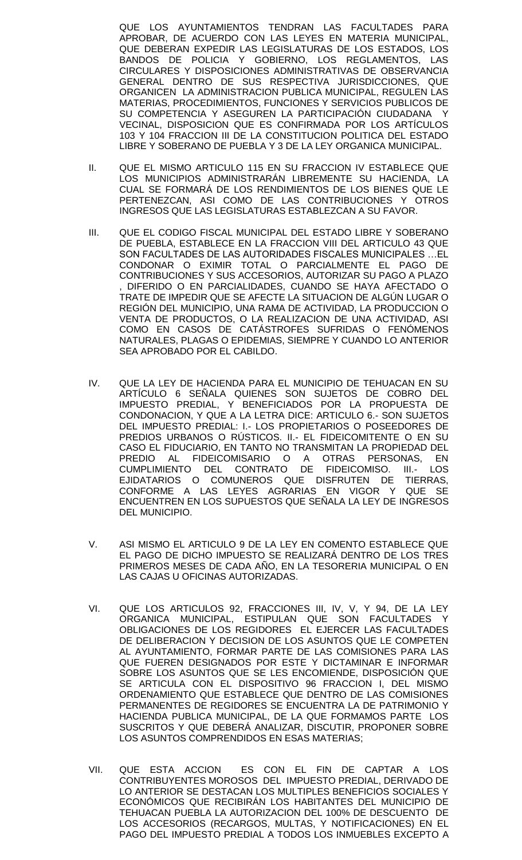QUE LOS AYUNTAMIENTOS TENDRAN LAS FACULTADES PARA APROBAR, DE ACUERDO CON LAS LEYES EN MATERIA MUNICIPAL, QUE DEBERAN EXPEDIR LAS LEGISLATURAS DE LOS ESTADOS, LOS BANDOS DE POLICIA Y GOBIERNO, LOS REGLAMENTOS, LAS CIRCULARES Y DISPOSICIONES ADMINISTRATIVAS DE OBSERVANCIA GENERAL DENTRO DE SUS RESPECTIVA JURISDICCIONES, QUE ORGANICEN LA ADMINISTRACION PUBLICA MUNICIPAL, REGULEN LAS MATERIAS, PROCEDIMIENTOS, FUNCIONES Y SERVICIOS PUBLICOS DE SU COMPETENCIA Y ASEGUREN LA PARTICIPACIÓN CIUDADANA VECINAL, DISPOSICION QUE ES CONFIRMADA POR LOS ARTÍCULOS 103 Y 104 FRACCION III DE LA CONSTITUCION POLITICA DEL ESTADO LIBRE Y SOBERANO DE PUEBLA Y 3 DE LA LEY ORGANICA MUNICIPAL.

- II. QUE EL MISMO ARTICULO 115 EN SU FRACCION IV ESTABLECE QUE LOS MUNICIPIOS ADMINISTRARÁN LIBREMENTE SU HACIENDA, LA CUAL SE FORMARÁ DE LOS RENDIMIENTOS DE LOS BIENES QUE LE PERTENEZCAN, ASI COMO DE LAS CONTRIBUCIONES Y OTROS INGRESOS QUE LAS LEGISLATURAS ESTABLEZCAN A SU FAVOR.
- III. QUE EL CODIGO FISCAL MUNICIPAL DEL ESTADO LIBRE Y SOBERANO DE PUEBLA, ESTABLECE EN LA FRACCION VIII DEL ARTICULO 43 QUE SON FACULTADES DE LAS AUTORIDADES FISCALES MUNICIPALES …EL CONDONAR O EXIMIR TOTAL O PARCIALMENTE EL PAGO DE CONTRIBUCIONES Y SUS ACCESORIOS, AUTORIZAR SU PAGO A PLAZO , DIFERIDO O EN PARCIALIDADES, CUANDO SE HAYA AFECTADO O TRATE DE IMPEDIR QUE SE AFECTE LA SITUACION DE ALGÚN LUGAR O REGIÓN DEL MUNICIPIO, UNA RAMA DE ACTIVIDAD, LA PRODUCCION O VENTA DE PRODUCTOS, O LA REALIZACION DE UNA ACTIVIDAD, ASI COMO EN CASOS DE CATÁSTROFES SUFRIDAS O FENÓMENOS NATURALES, PLAGAS O EPIDEMIAS, SIEMPRE Y CUANDO LO ANTERIOR SEA APROBADO POR EL CABILDO.
- IV. QUE LA LEY DE HACIENDA PARA EL MUNICIPIO DE TEHUACAN EN SU ARTÍCULO 6 SEÑALA QUIENES SON SUJETOS DE COBRO DEL IMPUESTO PREDIAL, Y BENEFICIADOS POR LA PROPUESTA DE CONDONACION, Y QUE A LA LETRA DICE: ARTICULO 6.- SON SUJETOS DEL IMPUESTO PREDIAL: I.- LOS PROPIETARIOS O POSEEDORES DE PREDIOS URBANOS O RÚSTICOS. II.- EL FIDEICOMITENTE O EN SU CASO EL FIDUCIARIO, EN TANTO NO TRANSMITAN LA PROPIEDAD DEL PREDIO AL FIDEICOMISARIO O A OTRAS PERSONAS, EN CUMPLIMIENTO DEL CONTRATO DE FIDEICOMISO. III.- LOS EJIDATARIOS O COMUNEROS QUE DISFRUTEN DE TIERRAS, CONFORME A LAS LEYES AGRARIAS EN VIGOR Y QUE SE ENCUENTREN EN LOS SUPUESTOS QUE SEÑALA LA LEY DE INGRESOS DEL MUNICIPIO.
- V. ASI MISMO EL ARTICULO 9 DE LA LEY EN COMENTO ESTABLECE QUE EL PAGO DE DICHO IMPUESTO SE REALIZARÁ DENTRO DE LOS TRES PRIMEROS MESES DE CADA AÑO, EN LA TESORERIA MUNICIPAL O EN LAS CAJAS U OFICINAS AUTORIZADAS.
- VI. QUE LOS ARTICULOS 92, FRACCIONES III, IV, V, Y 94, DE LA LEY ORGANICA MUNICIPAL, ESTIPULAN QUE SON FACULTADES OBLIGACIONES DE LOS REGIDORES EL EJERCER LAS FACULTADES DE DELIBERACION Y DECISION DE LOS ASUNTOS QUE LE COMPETEN AL AYUNTAMIENTO, FORMAR PARTE DE LAS COMISIONES PARA LAS QUE FUEREN DESIGNADOS POR ESTE Y DICTAMINAR E INFORMAR SOBRE LOS ASUNTOS QUE SE LES ENCOMIENDE, DISPOSICIÓN QUE SE ARTICULA CON EL DISPOSITIVO 96 FRACCION I, DEL MISMO ORDENAMIENTO QUE ESTABLECE QUE DENTRO DE LAS COMISIONES PERMANENTES DE REGIDORES SE ENCUENTRA LA DE PATRIMONIO Y HACIENDA PUBLICA MUNICIPAL, DE LA QUE FORMAMOS PARTE LOS SUSCRITOS Y QUE DEBERÁ ANALIZAR, DISCUTIR, PROPONER SOBRE LOS ASUNTOS COMPRENDIDOS EN ESAS MATERIAS;
- VII. QUE ESTA ACCION ES CON EL FIN DE CAPTAR A LOS CONTRIBUYENTES MOROSOS DEL IMPUESTO PREDIAL, DERIVADO DE LO ANTERIOR SE DESTACAN LOS MULTIPLES BENEFICIOS SOCIALES Y ECONÓMICOS QUE RECIBIRÁN LOS HABITANTES DEL MUNICIPIO DE TEHUACAN PUEBLA LA AUTORIZACION DEL 100% DE DESCUENTO DE LOS ACCESORIOS (RECARGOS, MULTAS, Y NOTIFICACIONES) EN EL PAGO DEL IMPUESTO PREDIAL A TODOS LOS INMUEBLES EXCEPTO A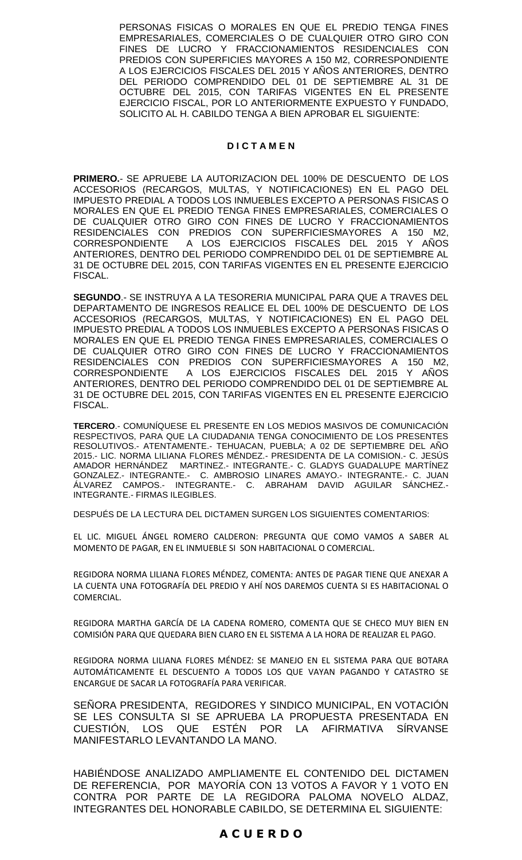PERSONAS FISICAS O MORALES EN QUE EL PREDIO TENGA FINES EMPRESARIALES, COMERCIALES O DE CUALQUIER OTRO GIRO CON FINES DE LUCRO Y FRACCIONAMIENTOS RESIDENCIALES CON PREDIOS CON SUPERFICIES MAYORES A 150 M2, CORRESPONDIENTE A LOS EJERCICIOS FISCALES DEL 2015 Y AÑOS ANTERIORES, DENTRO DEL PERIODO COMPRENDIDO DEL 01 DE SEPTIEMBRE AL 31 DE OCTUBRE DEL 2015, CON TARIFAS VIGENTES EN EL PRESENTE EJERCICIO FISCAL, POR LO ANTERIORMENTE EXPUESTO Y FUNDADO, SOLICITO AL H. CABILDO TENGA A BIEN APROBAR EL SIGUIENTE:

### **D I C T A M E N**

**PRIMERO.**- SE APRUEBE LA AUTORIZACION DEL 100% DE DESCUENTO DE LOS ACCESORIOS (RECARGOS, MULTAS, Y NOTIFICACIONES) EN EL PAGO DEL IMPUESTO PREDIAL A TODOS LOS INMUEBLES EXCEPTO A PERSONAS FISICAS O MORALES EN QUE EL PREDIO TENGA FINES EMPRESARIALES, COMERCIALES O DE CUALQUIER OTRO GIRO CON FINES DE LUCRO Y FRACCIONAMIENTOS RESIDENCIALES CON PREDIOS CON SUPERFICIESMAYORES A 150 M2, CORRESPONDIENTE A LOS EJERCICIOS FISCALES DEL 2015 Y AÑOS ANTERIORES, DENTRO DEL PERIODO COMPRENDIDO DEL 01 DE SEPTIEMBRE AL 31 DE OCTUBRE DEL 2015, CON TARIFAS VIGENTES EN EL PRESENTE EJERCICIO FISCAL.

**SEGUNDO**.- SE INSTRUYA A LA TESORERIA MUNICIPAL PARA QUE A TRAVES DEL DEPARTAMENTO DE INGRESOS REALICE EL DEL 100% DE DESCUENTO DE LOS ACCESORIOS (RECARGOS, MULTAS, Y NOTIFICACIONES) EN EL PAGO DEL IMPUESTO PREDIAL A TODOS LOS INMUEBLES EXCEPTO A PERSONAS FISICAS O MORALES EN QUE EL PREDIO TENGA FINES EMPRESARIALES, COMERCIALES O DE CUALQUIER OTRO GIRO CON FINES DE LUCRO Y FRACCIONAMIENTOS RESIDENCIALES CON PREDIOS CON SUPERFICIESMAYORES A 150 M2, CORRESPONDIENTE A LOS EJERCICIOS FISCALES DEL 2015 Y AÑOS ANTERIORES, DENTRO DEL PERIODO COMPRENDIDO DEL 01 DE SEPTIEMBRE AL 31 DE OCTUBRE DEL 2015, CON TARIFAS VIGENTES EN EL PRESENTE EJERCICIO FISCAL.

**TERCERO**.- COMUNÍQUESE EL PRESENTE EN LOS MEDIOS MASIVOS DE COMUNICACIÓN RESPECTIVOS, PARA QUE LA CIUDADANIA TENGA CONOCIMIENTO DE LOS PRESENTES RESOLUTIVOS.- ATENTAMENTE.- TEHUACAN, PUEBLA; A 02 DE SEPTIEMBRE DEL AÑO 2015.- LIC. NORMA LILIANA FLORES MÉNDEZ.- PRESIDENTA DE LA COMISION.- C. JESÚS AMADOR HERNÁNDEZ MARTINEZ.- INTEGRANTE.- C. GLADYS GUADALUPE MARTÍNEZ GONZALEZ.- INTEGRANTE.- C. AMBROSIO LINARES AMAYO.- INTEGRANTE.- C. JUAN ÁLVAREZ CAMPOS.- INTEGRANTE.- C. ABRAHAM DAVID AGUILAR SÁNCHEZ.- INTEGRANTE.- FIRMAS ILEGIBLES.

DESPUÉS DE LA LECTURA DEL DICTAMEN SURGEN LOS SIGUIENTES COMENTARIOS:

EL LIC. MIGUEL ÁNGEL ROMERO CALDERON: PREGUNTA QUE COMO VAMOS A SABER AL MOMENTO DE PAGAR, EN EL INMUEBLE SI SON HABITACIONAL O COMERCIAL.

REGIDORA NORMA LILIANA FLORES MÉNDEZ, COMENTA: ANTES DE PAGAR TIENE QUE ANEXAR A LA CUENTA UNA FOTOGRAFÍA DEL PREDIO Y AHÍ NOS DAREMOS CUENTA SI ES HABITACIONAL O COMERCIAL.

REGIDORA MARTHA GARCÍA DE LA CADENA ROMERO, COMENTA QUE SE CHECO MUY BIEN EN COMISIÓN PARA QUE QUEDARA BIEN CLARO EN EL SISTEMA A LA HORA DE REALIZAR EL PAGO.

REGIDORA NORMA LILIANA FLORES MÉNDEZ: SE MANEJO EN EL SISTEMA PARA QUE BOTARA AUTOMÁTICAMENTE EL DESCUENTO A TODOS LOS QUE VAYAN PAGANDO Y CATASTRO SE ENCARGUE DE SACAR LA FOTOGRAFÍA PARA VERIFICAR.

SENORA PRESIDENTA, REGIDORES Y SINDICO MUNICIPAL, EN VOTACIÓN SE LES CONSULTA SI SE APRUEBA LA PROPUESTA PRESENTADA EN CUESTIÓN, LOS QUE ESTÉN POR LA AFIRMATIVA SÍRVANSE MANIFESTARLO LEVANTANDO LA MANO.

HABIÉNDOSE ANALIZADO AMPLIAMENTE EL CONTENIDO DEL DICTAMEN DE REFERENCIA, POR MAYORÍA CON 13 VOTOS A FAVOR Y 1 VOTO EN CONTRA POR PARTE DE LA REGIDORA PALOMA NOVELO ALDAZ, INTEGRANTES DEL HONORABLE CABILDO, SE DETERMINA EL SIGUIENTE:

## **A C U E R D O**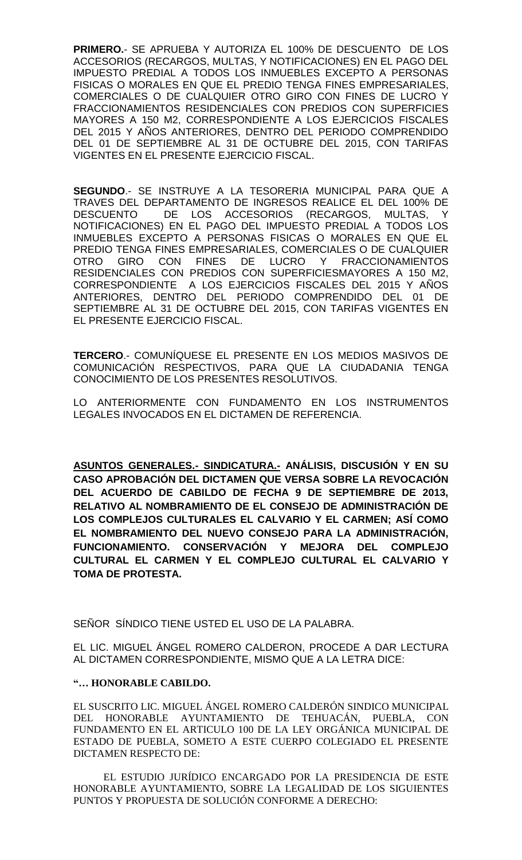**PRIMERO.**- SE APRUEBA Y AUTORIZA EL 100% DE DESCUENTO DE LOS ACCESORIOS (RECARGOS, MULTAS, Y NOTIFICACIONES) EN EL PAGO DEL IMPUESTO PREDIAL A TODOS LOS INMUEBLES EXCEPTO A PERSONAS FISICAS O MORALES EN QUE EL PREDIO TENGA FINES EMPRESARIALES, COMERCIALES O DE CUALQUIER OTRO GIRO CON FINES DE LUCRO Y FRACCIONAMIENTOS RESIDENCIALES CON PREDIOS CON SUPERFICIES MAYORES A 150 M2, CORRESPONDIENTE A LOS EJERCICIOS FISCALES DEL 2015 Y AÑOS ANTERIORES, DENTRO DEL PERIODO COMPRENDIDO DEL 01 DE SEPTIEMBRE AL 31 DE OCTUBRE DEL 2015, CON TARIFAS VIGENTES EN EL PRESENTE EJERCICIO FISCAL.

**SEGUNDO**.- SE INSTRUYE A LA TESORERIA MUNICIPAL PARA QUE A TRAVES DEL DEPARTAMENTO DE INGRESOS REALICE EL DEL 100% DE DESCUENTO DE LOS ACCESORIOS (RECARGOS, MULTAS, Y NOTIFICACIONES) EN EL PAGO DEL IMPUESTO PREDIAL A TODOS LOS INMUEBLES EXCEPTO A PERSONAS FISICAS O MORALES EN QUE EL PREDIO TENGA FINES EMPRESARIALES, COMERCIALES O DE CUALQUIER OTRO GIRO CON FINES DE LUCRO Y FRACCIONAMIENTOS RESIDENCIALES CON PREDIOS CON SUPERFICIESMAYORES A 150 M2, CORRESPONDIENTE A LOS EJERCICIOS FISCALES DEL 2015 Y AÑOS ANTERIORES, DENTRO DEL PERIODO COMPRENDIDO DEL 01 DE SEPTIEMBRE AL 31 DE OCTUBRE DEL 2015, CON TARIFAS VIGENTES EN EL PRESENTE EJERCICIO FISCAL.

**TERCERO**.- COMUNÍQUESE EL PRESENTE EN LOS MEDIOS MASIVOS DE COMUNICACIÓN RESPECTIVOS, PARA QUE LA CIUDADANIA TENGA CONOCIMIENTO DE LOS PRESENTES RESOLUTIVOS.

LO ANTERIORMENTE CON FUNDAMENTO EN LOS INSTRUMENTOS LEGALES INVOCADOS EN EL DICTAMEN DE REFERENCIA.

**ASUNTOS GENERALES.- SINDICATURA.- ANÁLISIS, DISCUSIÓN Y EN SU CASO APROBACIÓN DEL DICTAMEN QUE VERSA SOBRE LA REVOCACIÓN DEL ACUERDO DE CABILDO DE FECHA 9 DE SEPTIEMBRE DE 2013, RELATIVO AL NOMBRAMIENTO DE EL CONSEJO DE ADMINISTRACIÓN DE LOS COMPLEJOS CULTURALES EL CALVARIO Y EL CARMEN; ASÍ COMO EL NOMBRAMIENTO DEL NUEVO CONSEJO PARA LA ADMINISTRACIÓN, FUNCIONAMIENTO. CONSERVACIÓN Y MEJORA DEL COMPLEJO CULTURAL EL CARMEN Y EL COMPLEJO CULTURAL EL CALVARIO Y TOMA DE PROTESTA.**

SEÑOR SÍNDICO TIENE USTED EL USO DE LA PALABRA.

EL LIC. MIGUEL ÁNGEL ROMERO CALDERON, PROCEDE A DAR LECTURA AL DICTAMEN CORRESPONDIENTE, MISMO QUE A LA LETRA DICE:

## **"… HONORABLE CABILDO.**

EL SUSCRITO LIC. MIGUEL ÁNGEL ROMERO CALDERÓN SINDICO MUNICIPAL DEL HONORABLE AYUNTAMIENTO DE TEHUACÁN, PUEBLA, CON FUNDAMENTO EN EL ARTICULO 100 DE LA LEY ORGÁNICA MUNICIPAL DE ESTADO DE PUEBLA, SOMETO A ESTE CUERPO COLEGIADO EL PRESENTE DICTAMEN RESPECTO DE:

EL ESTUDIO JURÍDICO ENCARGADO POR LA PRESIDENCIA DE ESTE HONORABLE AYUNTAMIENTO, SOBRE LA LEGALIDAD DE LOS SIGUIENTES PUNTOS Y PROPUESTA DE SOLUCIÓN CONFORME A DERECHO: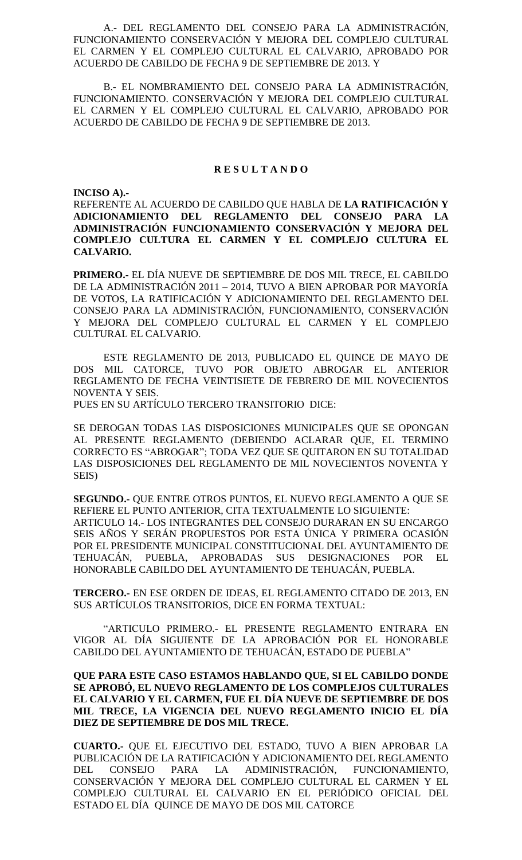A.- DEL REGLAMENTO DEL CONSEJO PARA LA ADMINISTRACIÓN, FUNCIONAMIENTO CONSERVACIÓN Y MEJORA DEL COMPLEJO CULTURAL EL CARMEN Y EL COMPLEJO CULTURAL EL CALVARIO, APROBADO POR ACUERDO DE CABILDO DE FECHA 9 DE SEPTIEMBRE DE 2013. Y

B.- EL NOMBRAMIENTO DEL CONSEJO PARA LA ADMINISTRACIÓN, FUNCIONAMIENTO. CONSERVACIÓN Y MEJORA DEL COMPLEJO CULTURAL EL CARMEN Y EL COMPLEJO CULTURAL EL CALVARIO, APROBADO POR ACUERDO DE CABILDO DE FECHA 9 DE SEPTIEMBRE DE 2013.

#### **R E S U L T A N D O**

**INCISO A).-**

REFERENTE AL ACUERDO DE CABILDO QUE HABLA DE **LA RATIFICACIÓN Y ADICIONAMIENTO DEL REGLAMENTO DEL CONSEJO PARA LA ADMINISTRACIÓN FUNCIONAMIENTO CONSERVACIÓN Y MEJORA DEL COMPLEJO CULTURA EL CARMEN Y EL COMPLEJO CULTURA EL CALVARIO.**

**PRIMERO.-** EL DÍA NUEVE DE SEPTIEMBRE DE DOS MIL TRECE, EL CABILDO DE LA ADMINISTRACIÓN 2011 – 2014, TUVO A BIEN APROBAR POR MAYORÍA DE VOTOS, LA RATIFICACIÓN Y ADICIONAMIENTO DEL REGLAMENTO DEL CONSEJO PARA LA ADMINISTRACIÓN, FUNCIONAMIENTO, CONSERVACIÓN Y MEJORA DEL COMPLEJO CULTURAL EL CARMEN Y EL COMPLEJO CULTURAL EL CALVARIO.

ESTE REGLAMENTO DE 2013, PUBLICADO EL QUINCE DE MAYO DE DOS MIL CATORCE, TUVO POR OBJETO ABROGAR EL ANTERIOR REGLAMENTO DE FECHA VEINTISIETE DE FEBRERO DE MIL NOVECIENTOS NOVENTA Y SEIS.

PUES EN SU ARTÍCULO TERCERO TRANSITORIO DICE:

SE DEROGAN TODAS LAS DISPOSICIONES MUNICIPALES QUE SE OPONGAN AL PRESENTE REGLAMENTO (DEBIENDO ACLARAR QUE, EL TERMINO CORRECTO ES "ABROGAR"; TODA VEZ QUE SE QUITARON EN SU TOTALIDAD LAS DISPOSICIONES DEL REGLAMENTO DE MIL NOVECIENTOS NOVENTA Y SEIS)

**SEGUNDO.-** QUE ENTRE OTROS PUNTOS, EL NUEVO REGLAMENTO A QUE SE REFIERE EL PUNTO ANTERIOR, CITA TEXTUALMENTE LO SIGUIENTE: ARTICULO 14.- LOS INTEGRANTES DEL CONSEJO DURARAN EN SU ENCARGO SEIS AÑOS Y SERÁN PROPUESTOS POR ESTA ÚNICA Y PRIMERA OCASIÓN POR EL PRESIDENTE MUNICIPAL CONSTITUCIONAL DEL AYUNTAMIENTO DE TEHUACÁN, PUEBLA, APROBADAS SUS DESIGNACIONES POR EL HONORABLE CABILDO DEL AYUNTAMIENTO DE TEHUACÁN, PUEBLA.

**TERCERO.-** EN ESE ORDEN DE IDEAS, EL REGLAMENTO CITADO DE 2013, EN SUS ARTÍCULOS TRANSITORIOS, DICE EN FORMA TEXTUAL:

"ARTICULO PRIMERO.- EL PRESENTE REGLAMENTO ENTRARA EN VIGOR AL DÍA SIGUIENTE DE LA APROBACIÓN POR EL HONORABLE CABILDO DEL AYUNTAMIENTO DE TEHUACÁN, ESTADO DE PUEBLA"

**QUE PARA ESTE CASO ESTAMOS HABLANDO QUE, SI EL CABILDO DONDE SE APROBÓ, EL NUEVO REGLAMENTO DE LOS COMPLEJOS CULTURALES EL CALVARIO Y EL CARMEN, FUE EL DÍA NUEVE DE SEPTIEMBRE DE DOS MIL TRECE, LA VIGENCIA DEL NUEVO REGLAMENTO INICIO EL DÍA DIEZ DE SEPTIEMBRE DE DOS MIL TRECE.**

**CUARTO.-** QUE EL EJECUTIVO DEL ESTADO, TUVO A BIEN APROBAR LA PUBLICACIÓN DE LA RATIFICACIÓN Y ADICIONAMIENTO DEL REGLAMENTO DEL CONSEJO PARA LA ADMINISTRACIÓN, FUNCIONAMIENTO, CONSERVACIÓN Y MEJORA DEL COMPLEJO CULTURAL EL CARMEN Y EL COMPLEJO CULTURAL EL CALVARIO EN EL PERIÓDICO OFICIAL DEL ESTADO EL DÍA QUINCE DE MAYO DE DOS MIL CATORCE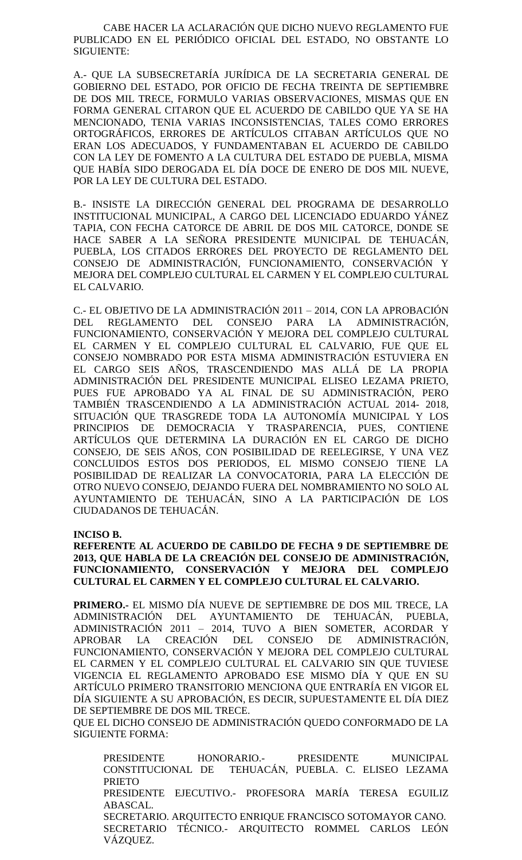CABE HACER LA ACLARACIÓN QUE DICHO NUEVO REGLAMENTO FUE PUBLICADO EN EL PERIÓDICO OFICIAL DEL ESTADO, NO OBSTANTE LO SIGUIENTE:

A.- QUE LA SUBSECRETARÍA JURÍDICA DE LA SECRETARIA GENERAL DE GOBIERNO DEL ESTADO, POR OFICIO DE FECHA TREINTA DE SEPTIEMBRE DE DOS MIL TRECE, FORMULO VARIAS OBSERVACIONES, MISMAS QUE EN FORMA GENERAL CITARON QUE EL ACUERDO DE CABILDO QUE YA SE HA MENCIONADO, TENIA VARIAS INCONSISTENCIAS, TALES COMO ERRORES ORTOGRÁFICOS, ERRORES DE ARTÍCULOS CITABAN ARTÍCULOS QUE NO ERAN LOS ADECUADOS, Y FUNDAMENTABAN EL ACUERDO DE CABILDO CON LA LEY DE FOMENTO A LA CULTURA DEL ESTADO DE PUEBLA, MISMA QUE HABÍA SIDO DEROGADA EL DÍA DOCE DE ENERO DE DOS MIL NUEVE, POR LA LEY DE CULTURA DEL ESTADO.

B.- INSISTE LA DIRECCIÓN GENERAL DEL PROGRAMA DE DESARROLLO INSTITUCIONAL MUNICIPAL, A CARGO DEL LICENCIADO EDUARDO YÁNEZ TAPIA, CON FECHA CATORCE DE ABRIL DE DOS MIL CATORCE, DONDE SE HACE SABER A LA SEÑORA PRESIDENTE MUNICIPAL DE TEHUACÁN, PUEBLA, LOS CITADOS ERRORES DEL PROYECTO DE REGLAMENTO DEL CONSEJO DE ADMINISTRACIÓN, FUNCIONAMIENTO, CONSERVACIÓN Y MEJORA DEL COMPLEJO CULTURAL EL CARMEN Y EL COMPLEJO CULTURAL EL CALVARIO.

C.- EL OBJETIVO DE LA ADMINISTRACIÓN 2011 – 2014, CON LA APROBACIÓN DEL REGLAMENTO DEL CONSEJO PARA LA ADMINISTRACIÓN, FUNCIONAMIENTO, CONSERVACIÓN Y MEJORA DEL COMPLEJO CULTURAL EL CARMEN Y EL COMPLEJO CULTURAL EL CALVARIO, FUE QUE EL CONSEJO NOMBRADO POR ESTA MISMA ADMINISTRACIÓN ESTUVIERA EN EL CARGO SEIS AÑOS, TRASCENDIENDO MAS ALLÁ DE LA PROPIA ADMINISTRACIÓN DEL PRESIDENTE MUNICIPAL ELISEO LEZAMA PRIETO, PUES FUE APROBADO YA AL FINAL DE SU ADMINISTRACIÓN, PERO TAMBIÉN TRASCENDIENDO A LA ADMINISTRACIÓN ACTUAL 2014- 2018, SITUACIÓN QUE TRASGREDE TODA LA AUTONOMÍA MUNICIPAL Y LOS PRINCIPIOS DE DEMOCRACIA Y TRASPARENCIA, PUES, CONTIENE ARTÍCULOS QUE DETERMINA LA DURACIÓN EN EL CARGO DE DICHO CONSEJO, DE SEIS AÑOS, CON POSIBILIDAD DE REELEGIRSE, Y UNA VEZ CONCLUIDOS ESTOS DOS PERIODOS, EL MISMO CONSEJO TIENE LA POSIBILIDAD DE REALIZAR LA CONVOCATORIA, PARA LA ELECCIÓN DE OTRO NUEVO CONSEJO, DEJANDO FUERA DEL NOMBRAMIENTO NO SOLO AL AYUNTAMIENTO DE TEHUACÁN, SINO A LA PARTICIPACIÓN DE LOS CIUDADANOS DE TEHUACÁN.

**INCISO B.**

**REFERENTE AL ACUERDO DE CABILDO DE FECHA 9 DE SEPTIEMBRE DE 2013, QUE HABLA DE LA CREACIÓN DEL CONSEJO DE ADMINISTRACIÓN, FUNCIONAMIENTO, CONSERVACIÓN Y MEJORA DEL COMPLEJO CULTURAL EL CARMEN Y EL COMPLEJO CULTURAL EL CALVARIO.**

**PRIMERO.-** EL MISMO DÍA NUEVE DE SEPTIEMBRE DE DOS MIL TRECE, LA ADMINISTRACIÓN DEL AYUNTAMIENTO DE TEHUACÁN, PUEBLA, ADMINISTRACIÓN 2011 – 2014, TUVO A BIEN SOMETER, ACORDAR Y APROBAR LA CREACIÓN DEL CONSEJO DE ADMINISTRACIÓN, FUNCIONAMIENTO, CONSERVACIÓN Y MEJORA DEL COMPLEJO CULTURAL EL CARMEN Y EL COMPLEJO CULTURAL EL CALVARIO SIN QUE TUVIESE VIGENCIA EL REGLAMENTO APROBADO ESE MISMO DÍA Y QUE EN SU ARTÍCULO PRIMERO TRANSITORIO MENCIONA QUE ENTRARÍA EN VIGOR EL DÍA SIGUIENTE A SU APROBACIÓN, ES DECIR, SUPUESTAMENTE EL DÍA DIEZ DE SEPTIEMBRE DE DOS MIL TRECE.

QUE EL DICHO CONSEJO DE ADMINISTRACIÓN QUEDO CONFORMADO DE LA SIGUIENTE FORMA:

PRESIDENTE HONORARIO.- PRESIDENTE MUNICIPAL CONSTITUCIONAL DE TEHUACÁN, PUEBLA. C. ELISEO LEZAMA PRIETO PRESIDENTE EJECUTIVO.- PROFESORA MARÍA TERESA EGUILIZ ABASCAL. SECRETARIO. ARQUITECTO ENRIQUE FRANCISCO SOTOMAYOR CANO. SECRETARIO TÉCNICO.- ARQUITECTO ROMMEL CARLOS LEÓN VÁZQUEZ.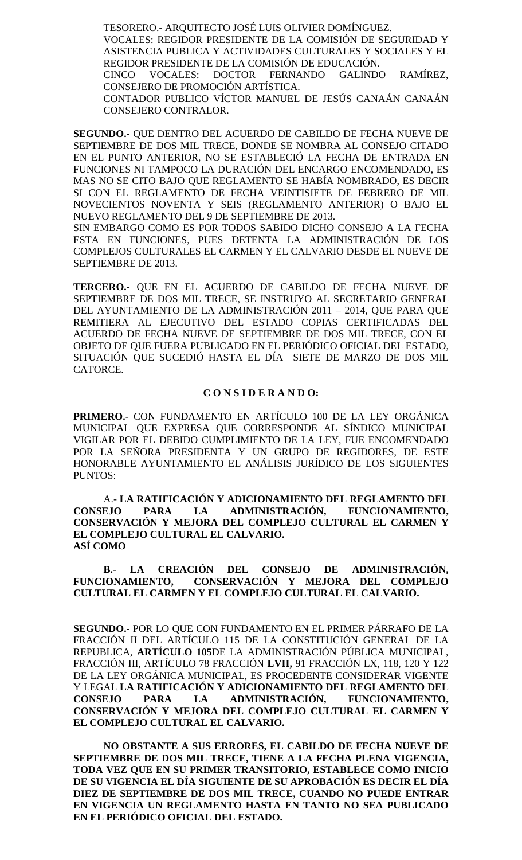TESORERO.- ARQUITECTO JOSÉ LUIS OLIVIER DOMÍNGUEZ. VOCALES: REGIDOR PRESIDENTE DE LA COMISIÓN DE SEGURIDAD Y ASISTENCIA PUBLICA Y ACTIVIDADES CULTURALES Y SOCIALES Y EL REGIDOR PRESIDENTE DE LA COMISIÓN DE EDUCACIÓN. CINCO VOCALES: DOCTOR FERNANDO GALINDO RAMÍREZ, CONSEJERO DE PROMOCIÓN ARTÍSTICA. CONTADOR PUBLICO VÍCTOR MANUEL DE JESÚS CANAÁN CANAÁN CONSEJERO CONTRALOR.

**SEGUNDO.-** QUE DENTRO DEL ACUERDO DE CABILDO DE FECHA NUEVE DE SEPTIEMBRE DE DOS MIL TRECE, DONDE SE NOMBRA AL CONSEJO CITADO EN EL PUNTO ANTERIOR, NO SE ESTABLECIÓ LA FECHA DE ENTRADA EN FUNCIONES NI TAMPOCO LA DURACIÓN DEL ENCARGO ENCOMENDADO, ES MAS NO SE CITO BAJO QUE REGLAMENTO SE HABÍA NOMBRADO, ES DECIR SI CON EL REGLAMENTO DE FECHA VEINTISIETE DE FEBRERO DE MIL NOVECIENTOS NOVENTA Y SEIS (REGLAMENTO ANTERIOR) O BAJO EL NUEVO REGLAMENTO DEL 9 DE SEPTIEMBRE DE 2013.

SIN EMBARGO COMO ES POR TODOS SABIDO DICHO CONSEJO A LA FECHA ESTA EN FUNCIONES, PUES DETENTA LA ADMINISTRACIÓN DE LOS COMPLEJOS CULTURALES EL CARMEN Y EL CALVARIO DESDE EL NUEVE DE SEPTIEMBRE DE 2013.

**TERCERO.-** QUE EN EL ACUERDO DE CABILDO DE FECHA NUEVE DE SEPTIEMBRE DE DOS MIL TRECE, SE INSTRUYO AL SECRETARIO GENERAL DEL AYUNTAMIENTO DE LA ADMINISTRACIÓN 2011 – 2014, QUE PARA QUE REMITIERA AL EJECUTIVO DEL ESTADO COPIAS CERTIFICADAS DEL ACUERDO DE FECHA NUEVE DE SEPTIEMBRE DE DOS MIL TRECE, CON EL OBJETO DE QUE FUERA PUBLICADO EN EL PERIÓDICO OFICIAL DEL ESTADO, SITUACIÓN QUE SUCEDIÓ HASTA EL DÍA SIETE DE MARZO DE DOS MIL CATORCE.

#### **C O N S I D E R A N D O:**

**PRIMERO.-** CON FUNDAMENTO EN ARTÍCULO 100 DE LA LEY ORGÁNICA MUNICIPAL QUE EXPRESA QUE CORRESPONDE AL SÍNDICO MUNICIPAL VIGILAR POR EL DEBIDO CUMPLIMIENTO DE LA LEY, FUE ENCOMENDADO POR LA SEÑORA PRESIDENTA Y UN GRUPO DE REGIDORES, DE ESTE HONORABLE AYUNTAMIENTO EL ANÁLISIS JURÍDICO DE LOS SIGUIENTES PUNTOS:

A.- **LA RATIFICACIÓN Y ADICIONAMIENTO DEL REGLAMENTO DEL CONSEJO PARA LA ADMINISTRACIÓN, FUNCIONAMIENTO, CONSERVACIÓN Y MEJORA DEL COMPLEJO CULTURAL EL CARMEN Y EL COMPLEJO CULTURAL EL CALVARIO. ASÍ COMO**

**B.- LA CREACIÓN DEL CONSEJO DE ADMINISTRACIÓN, FUNCIONAMIENTO, CONSERVACIÓN Y MEJORA DEL COMPLEJO CULTURAL EL CARMEN Y EL COMPLEJO CULTURAL EL CALVARIO.**

**SEGUNDO.-** POR LO QUE CON FUNDAMENTO EN EL PRIMER PÁRRAFO DE LA FRACCIÓN II DEL ARTÍCULO 115 DE LA CONSTITUCIÓN GENERAL DE LA REPUBLICA, **ARTÍCULO 105**DE LA ADMINISTRACIÓN PÚBLICA MUNICIPAL, FRACCIÓN III, ARTÍCULO 78 FRACCIÓN **LVII,** 91 FRACCIÓN LX, 118, 120 Y 122 DE LA LEY ORGÁNICA MUNICIPAL, ES PROCEDENTE CONSIDERAR VIGENTE Y LEGAL **LA RATIFICACIÓN Y ADICIONAMIENTO DEL REGLAMENTO DEL CONSEJO PARA LA ADMINISTRACIÓN, FUNCIONAMIENTO, CONSERVACIÓN Y MEJORA DEL COMPLEJO CULTURAL EL CARMEN Y EL COMPLEJO CULTURAL EL CALVARIO.**

**NO OBSTANTE A SUS ERRORES, EL CABILDO DE FECHA NUEVE DE SEPTIEMBRE DE DOS MIL TRECE, TIENE A LA FECHA PLENA VIGENCIA, TODA VEZ QUE EN SU PRIMER TRANSITORIO, ESTABLECE COMO INICIO DE SU VIGENCIA EL DÍA SIGUIENTE DE SU APROBACIÓN ES DECIR EL DÍA DIEZ DE SEPTIEMBRE DE DOS MIL TRECE, CUANDO NO PUEDE ENTRAR EN VIGENCIA UN REGLAMENTO HASTA EN TANTO NO SEA PUBLICADO EN EL PERIÓDICO OFICIAL DEL ESTADO.**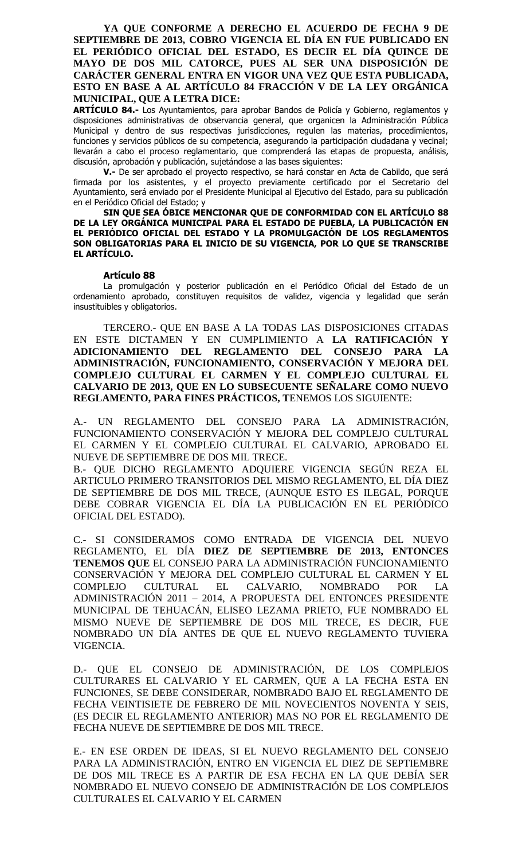**YA QUE CONFORME A DERECHO EL ACUERDO DE FECHA 9 DE SEPTIEMBRE DE 2013, COBRO VIGENCIA EL DÍA EN FUE PUBLICADO EN EL PERIÓDICO OFICIAL DEL ESTADO, ES DECIR EL DÍA QUINCE DE MAYO DE DOS MIL CATORCE, PUES AL SER UNA DISPOSICIÓN DE CARÁCTER GENERAL ENTRA EN VIGOR UNA VEZ QUE ESTA PUBLICADA, ESTO EN BASE A AL ARTÍCULO 84 FRACCIÓN V DE LA LEY ORGÁNICA MUNICIPAL, QUE A LETRA DICE:**

**ARTÍCULO 84.-** Los Ayuntamientos, para aprobar Bandos de Policía y Gobierno, reglamentos y disposiciones administrativas de observancia general, que organicen la Administración Pública Municipal y dentro de sus respectivas jurisdicciones, regulen las materias, procedimientos, funciones y servicios públicos de su competencia, asegurando la participación ciudadana y vecinal; llevarán a cabo el proceso reglamentario, que comprenderá las etapas de propuesta, análisis, discusión, aprobación y publicación, sujetándose a las bases siguientes:

**V.-** De ser aprobado el proyecto respectivo, se hará constar en Acta de Cabildo, que será firmada por los asistentes, y el proyecto previamente certificado por el Secretario del Ayuntamiento, será enviado por el Presidente Municipal al Ejecutivo del Estado, para su publicación en el Periódico Oficial del Estado; y

#### **SIN QUE SEA ÓBICE MENCIONAR QUE DE CONFORMIDAD CON EL ARTÍCULO 88 DE LA LEY ORGÁNICA MUNICIPAL PARA EL ESTADO DE PUEBLA, LA PUBLICACIÓN EN EL PERIÓDICO OFICIAL DEL ESTADO Y LA PROMULGACIÓN DE LOS REGLAMENTOS SON OBLIGATORIAS PARA EL INICIO DE SU VIGENCIA, POR LO QUE SE TRANSCRIBE EL ARTÍCULO.**

#### **Artículo 88**

La promulgación y posterior publicación en el Periódico Oficial del Estado de un ordenamiento aprobado, constituyen requisitos de validez, vigencia y legalidad que serán insustituibles y obligatorios.

TERCERO.- QUE EN BASE A LA TODAS LAS DISPOSICIONES CITADAS EN ESTE DICTAMEN Y EN CUMPLIMIENTO A **LA RATIFICACIÓN Y ADICIONAMIENTO DEL REGLAMENTO DEL CONSEJO PARA LA ADMINISTRACIÓN, FUNCIONAMIENTO, CONSERVACIÓN Y MEJORA DEL COMPLEJO CULTURAL EL CARMEN Y EL COMPLEJO CULTURAL EL CALVARIO DE 2013, QUE EN LO SUBSECUENTE SEÑALARE COMO NUEVO REGLAMENTO, PARA FINES PRÁCTICOS, T**ENEMOS LOS SIGUIENTE:

A.- UN REGLAMENTO DEL CONSEJO PARA LA ADMINISTRACIÓN, FUNCIONAMIENTO CONSERVACIÓN Y MEJORA DEL COMPLEJO CULTURAL EL CARMEN Y EL COMPLEJO CULTURAL EL CALVARIO, APROBADO EL NUEVE DE SEPTIEMBRE DE DOS MIL TRECE.

B.- QUE DICHO REGLAMENTO ADQUIERE VIGENCIA SEGÚN REZA EL ARTICULO PRIMERO TRANSITORIOS DEL MISMO REGLAMENTO, EL DÍA DIEZ DE SEPTIEMBRE DE DOS MIL TRECE, (AUNQUE ESTO ES ILEGAL, PORQUE DEBE COBRAR VIGENCIA EL DÍA LA PUBLICACIÓN EN EL PERIÓDICO OFICIAL DEL ESTADO).

C.- SI CONSIDERAMOS COMO ENTRADA DE VIGENCIA DEL NUEVO REGLAMENTO, EL DÍA **DIEZ DE SEPTIEMBRE DE 2013, ENTONCES TENEMOS QUE** EL CONSEJO PARA LA ADMINISTRACIÓN FUNCIONAMIENTO CONSERVACIÓN Y MEJORA DEL COMPLEJO CULTURAL EL CARMEN Y EL COMPLEJO CULTURAL EL CALVARIO, NOMBRADO POR LA ADMINISTRACIÓN 2011 – 2014, A PROPUESTA DEL ENTONCES PRESIDENTE MUNICIPAL DE TEHUACÁN, ELISEO LEZAMA PRIETO, FUE NOMBRADO EL MISMO NUEVE DE SEPTIEMBRE DE DOS MIL TRECE, ES DECIR, FUE NOMBRADO UN DÍA ANTES DE QUE EL NUEVO REGLAMENTO TUVIERA VIGENCIA.

D.- QUE EL CONSEJO DE ADMINISTRACIÓN, DE LOS COMPLEJOS CULTURARES EL CALVARIO Y EL CARMEN, QUE A LA FECHA ESTA EN FUNCIONES, SE DEBE CONSIDERAR, NOMBRADO BAJO EL REGLAMENTO DE FECHA VEINTISIETE DE FEBRERO DE MIL NOVECIENTOS NOVENTA Y SEIS, (ES DECIR EL REGLAMENTO ANTERIOR) MAS NO POR EL REGLAMENTO DE FECHA NUEVE DE SEPTIEMBRE DE DOS MIL TRECE.

E.- EN ESE ORDEN DE IDEAS, SI EL NUEVO REGLAMENTO DEL CONSEJO PARA LA ADMINISTRACIÓN, ENTRO EN VIGENCIA EL DIEZ DE SEPTIEMBRE DE DOS MIL TRECE ES A PARTIR DE ESA FECHA EN LA QUE DEBÍA SER NOMBRADO EL NUEVO CONSEJO DE ADMINISTRACIÓN DE LOS COMPLEJOS CULTURALES EL CALVARIO Y EL CARMEN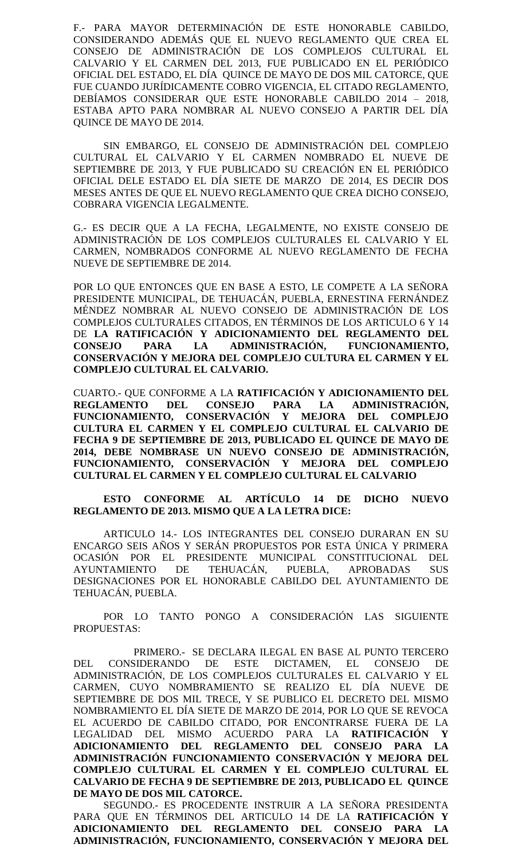F.- PARA MAYOR DETERMINACIÓN DE ESTE HONORABLE CABILDO, CONSIDERANDO ADEMÁS QUE EL NUEVO REGLAMENTO QUE CREA EL CONSEJO DE ADMINISTRACIÓN DE LOS COMPLEJOS CULTURAL EL CALVARIO Y EL CARMEN DEL 2013, FUE PUBLICADO EN EL PERIÓDICO OFICIAL DEL ESTADO, EL DÍA QUINCE DE MAYO DE DOS MIL CATORCE, QUE FUE CUANDO JURÍDICAMENTE COBRO VIGENCIA, EL CITADO REGLAMENTO, DEBÍAMOS CONSIDERAR QUE ESTE HONORABLE CABILDO 2014 – 2018, ESTABA APTO PARA NOMBRAR AL NUEVO CONSEJO A PARTIR DEL DÍA QUINCE DE MAYO DE 2014.

SIN EMBARGO, EL CONSEJO DE ADMINISTRACIÓN DEL COMPLEJO CULTURAL EL CALVARIO Y EL CARMEN NOMBRADO EL NUEVE DE SEPTIEMBRE DE 2013, Y FUE PUBLICADO SU CREACIÓN EN EL PERIÓDICO OFICIAL DELE ESTADO EL DÍA SIETE DE MARZO DE 2014, ES DECIR DOS MESES ANTES DE QUE EL NUEVO REGLAMENTO QUE CREA DICHO CONSEJO, COBRARA VIGENCIA LEGALMENTE.

G.- ES DECIR QUE A LA FECHA, LEGALMENTE, NO EXISTE CONSEJO DE ADMINISTRACIÓN DE LOS COMPLEJOS CULTURALES EL CALVARIO Y EL CARMEN, NOMBRADOS CONFORME AL NUEVO REGLAMENTO DE FECHA NUEVE DE SEPTIEMBRE DE 2014.

POR LO QUE ENTONCES QUE EN BASE A ESTO, LE COMPETE A LA SEÑORA PRESIDENTE MUNICIPAL, DE TEHUACÁN, PUEBLA, ERNESTINA FERNÁNDEZ MÉNDEZ NOMBRAR AL NUEVO CONSEJO DE ADMINISTRACIÓN DE LOS COMPLEJOS CULTURALES CITADOS, EN TÉRMINOS DE LOS ARTICULO 6 Y 14 DE **LA RATIFICACIÓN Y ADICIONAMIENTO DEL REGLAMENTO DEL CONSEJO PARA LA ADMINISTRACIÓN, FUNCIONAMIENTO, CONSERVACIÓN Y MEJORA DEL COMPLEJO CULTURA EL CARMEN Y EL COMPLEJO CULTURAL EL CALVARIO.**

CUARTO.- QUE CONFORME A LA **RATIFICACIÓN Y ADICIONAMIENTO DEL REGLAMENTO DEL CONSEJO PARA LA ADMINISTRACIÓN, FUNCIONAMIENTO, CONSERVACIÓN Y MEJORA DEL COMPLEJO CULTURA EL CARMEN Y EL COMPLEJO CULTURAL EL CALVARIO DE FECHA 9 DE SEPTIEMBRE DE 2013, PUBLICADO EL QUINCE DE MAYO DE 2014, DEBE NOMBRASE UN NUEVO CONSEJO DE ADMINISTRACIÓN, FUNCIONAMIENTO, CONSERVACIÓN Y MEJORA DEL COMPLEJO CULTURAL EL CARMEN Y EL COMPLEJO CULTURAL EL CALVARIO**

## **ESTO CONFORME AL ARTÍCULO 14 DE DICHO NUEVO REGLAMENTO DE 2013. MISMO QUE A LA LETRA DICE:**

ARTICULO 14.- LOS INTEGRANTES DEL CONSEJO DURARAN EN SU ENCARGO SEIS AÑOS Y SERÁN PROPUESTOS POR ESTA ÚNICA Y PRIMERA OCASIÓN POR EL PRESIDENTE MUNICIPAL CONSTITUCIONAL DEL AYUNTAMIENTO DE TEHUACÁN, PUEBLA, APROBADAS SUS DESIGNACIONES POR EL HONORABLE CABILDO DEL AYUNTAMIENTO DE TEHUACÁN, PUEBLA.

POR LO TANTO PONGO A CONSIDERACIÓN LAS SIGUIENTE PROPUESTAS:

PRIMERO.- SE DECLARA ILEGAL EN BASE AL PUNTO TERCERO DEL CONSIDERANDO DE ESTE DICTAMEN, EL CONSEJO DE ADMINISTRACIÓN, DE LOS COMPLEJOS CULTURALES EL CALVARIO Y EL CARMEN, CUYO NOMBRAMIENTO SE REALIZO EL DÍA NUEVE DE SEPTIEMBRE DE DOS MIL TRECE, Y SE PUBLICO EL DECRETO DEL MISMO NOMBRAMIENTO EL DÍA SIETE DE MARZO DE 2014, POR LO QUE SE REVOCA EL ACUERDO DE CABILDO CITADO, POR ENCONTRARSE FUERA DE LA LEGALIDAD DEL MISMO ACUERDO PARA LA **RATIFICACIÓN Y ADICIONAMIENTO DEL REGLAMENTO DEL CONSEJO PARA LA ADMINISTRACIÓN FUNCIONAMIENTO CONSERVACIÓN Y MEJORA DEL COMPLEJO CULTURAL EL CARMEN Y EL COMPLEJO CULTURAL EL CALVARIO DE FECHA 9 DE SEPTIEMBRE DE 2013, PUBLICADO EL QUINCE DE MAYO DE DOS MIL CATORCE.**

SEGUNDO.- ES PROCEDENTE INSTRUIR A LA SEÑORA PRESIDENTA PARA QUE EN TÉRMINOS DEL ARTICULO 14 DE LA **RATIFICACIÓN Y ADICIONAMIENTO DEL REGLAMENTO DEL CONSEJO PARA LA ADMINISTRACIÓN, FUNCIONAMIENTO, CONSERVACIÓN Y MEJORA DEL**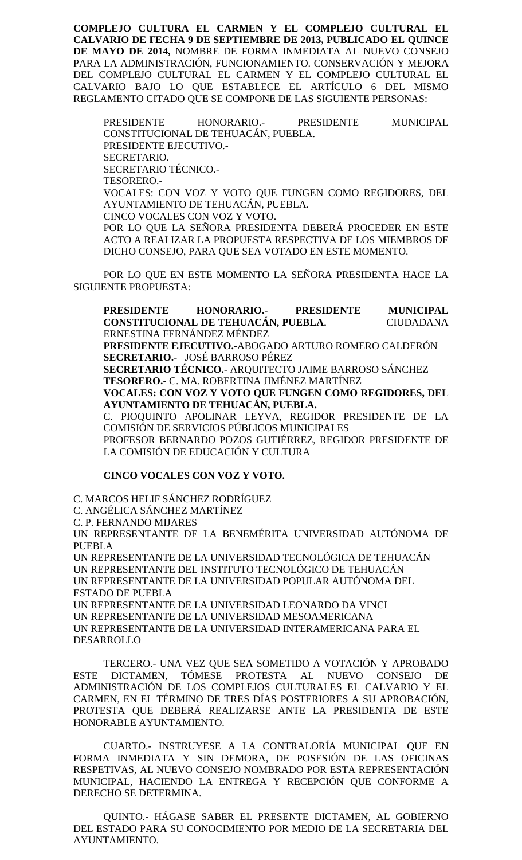**COMPLEJO CULTURA EL CARMEN Y EL COMPLEJO CULTURAL EL CALVARIO DE FECHA 9 DE SEPTIEMBRE DE 2013, PUBLICADO EL QUINCE DE MAYO DE 2014,** NOMBRE DE FORMA INMEDIATA AL NUEVO CONSEJO PARA LA ADMINISTRACIÓN, FUNCIONAMIENTO. CONSERVACIÓN Y MEJORA DEL COMPLEJO CULTURAL EL CARMEN Y EL COMPLEJO CULTURAL EL CALVARIO BAJO LO QUE ESTABLECE EL ARTÍCULO 6 DEL MISMO REGLAMENTO CITADO QUE SE COMPONE DE LAS SIGUIENTE PERSONAS:

PRESIDENTE HONORARIO.- PRESIDENTE MUNICIPAL CONSTITUCIONAL DE TEHUACÁN, PUEBLA. PRESIDENTE EJECUTIVO.- SECRETARIO. SECRETARIO TÉCNICO.- TESORERO.- VOCALES: CON VOZ Y VOTO QUE FUNGEN COMO REGIDORES, DEL AYUNTAMIENTO DE TEHUACÁN, PUEBLA. CINCO VOCALES CON VOZ Y VOTO. POR LO QUE LA SEÑORA PRESIDENTA DEBERÁ PROCEDER EN ESTE ACTO A REALIZAR LA PROPUESTA RESPECTIVA DE LOS MIEMBROS DE DICHO CONSEJO, PARA QUE SEA VOTADO EN ESTE MOMENTO.

POR LO QUE EN ESTE MOMENTO LA SEÑORA PRESIDENTA HACE LA SIGUIENTE PROPUESTA:

**PRESIDENTE HONORARIO.- PRESIDENTE MUNICIPAL CONSTITUCIONAL DE TEHUACÁN, PUEBLA.** CIUDADANA ERNESTINA FERNÁNDEZ MÉNDEZ **PRESIDENTE EJECUTIVO.-**ABOGADO ARTURO ROMERO CALDERÓN **SECRETARIO.-** JOSÉ BARROSO PÉREZ **SECRETARIO TÉCNICO.-** ARQUITECTO JAIME BARROSO SÁNCHEZ **TESORERO.-** C. MA. ROBERTINA JIMÉNEZ MARTÍNEZ **VOCALES: CON VOZ Y VOTO QUE FUNGEN COMO REGIDORES, DEL AYUNTAMIENTO DE TEHUACÁN, PUEBLA.** C. PIOQUINTO APOLINAR LEYVA, REGIDOR PRESIDENTE DE LA COMISIÓN DE SERVICIOS PÚBLICOS MUNICIPALES PROFESOR BERNARDO POZOS GUTIÉRREZ, REGIDOR PRESIDENTE DE LA COMISIÓN DE EDUCACIÓN Y CULTURA

### **CINCO VOCALES CON VOZ Y VOTO.**

C. MARCOS HELIF SÁNCHEZ RODRÍGUEZ C. ANGÉLICA SÁNCHEZ MARTÍNEZ C. P. FERNANDO MIJARES UN REPRESENTANTE DE LA BENEMÉRITA UNIVERSIDAD AUTÓNOMA DE PUEBLA UN REPRESENTANTE DE LA UNIVERSIDAD TECNOLÓGICA DE TEHUACÁN UN REPRESENTANTE DEL INSTITUTO TECNOLÓGICO DE TEHUACÁN UN REPRESENTANTE DE LA UNIVERSIDAD POPULAR AUTÓNOMA DEL ESTADO DE PUEBLA UN REPRESENTANTE DE LA UNIVERSIDAD LEONARDO DA VINCI UN REPRESENTANTE DE LA UNIVERSIDAD MESOAMERICANA UN REPRESENTANTE DE LA UNIVERSIDAD INTERAMERICANA PARA EL DESARROLLO

TERCERO.- UNA VEZ QUE SEA SOMETIDO A VOTACIÓN Y APROBADO ESTE DICTAMEN, TÓMESE PROTESTA AL NUEVO CONSEJO DE ADMINISTRACIÓN DE LOS COMPLEJOS CULTURALES EL CALVARIO Y EL CARMEN, EN EL TÉRMINO DE TRES DÍAS POSTERIORES A SU APROBACIÓN, PROTESTA QUE DEBERÁ REALIZARSE ANTE LA PRESIDENTA DE ESTE HONORABLE AYUNTAMIENTO.

CUARTO.- INSTRUYESE A LA CONTRALORÍA MUNICIPAL QUE EN FORMA INMEDIATA Y SIN DEMORA, DE POSESIÓN DE LAS OFICINAS RESPETIVAS, AL NUEVO CONSEJO NOMBRADO POR ESTA REPRESENTACIÓN MUNICIPAL, HACIENDO LA ENTREGA Y RECEPCIÓN QUE CONFORME A DERECHO SE DETERMINA.

QUINTO.- HÁGASE SABER EL PRESENTE DICTAMEN, AL GOBIERNO DEL ESTADO PARA SU CONOCIMIENTO POR MEDIO DE LA SECRETARIA DEL AYUNTAMIENTO.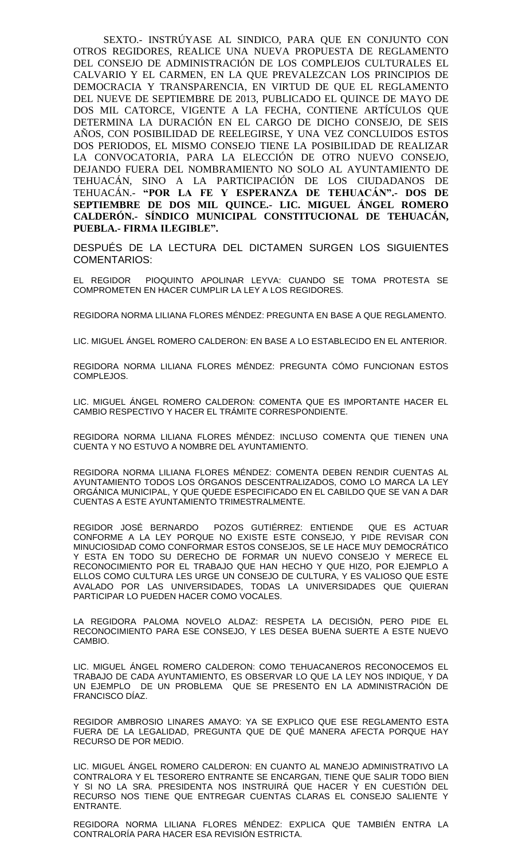SEXTO.- INSTRÚYASE AL SINDICO, PARA QUE EN CONJUNTO CON OTROS REGIDORES, REALICE UNA NUEVA PROPUESTA DE REGLAMENTO DEL CONSEJO DE ADMINISTRACIÓN DE LOS COMPLEJOS CULTURALES EL CALVARIO Y EL CARMEN, EN LA QUE PREVALEZCAN LOS PRINCIPIOS DE DEMOCRACIA Y TRANSPARENCIA, EN VIRTUD DE QUE EL REGLAMENTO DEL NUEVE DE SEPTIEMBRE DE 2013, PUBLICADO EL QUINCE DE MAYO DE DOS MIL CATORCE, VIGENTE A LA FECHA, CONTIENE ARTÍCULOS QUE DETERMINA LA DURACIÓN EN EL CARGO DE DICHO CONSEJO, DE SEIS AÑOS, CON POSIBILIDAD DE REELEGIRSE, Y UNA VEZ CONCLUIDOS ESTOS DOS PERIODOS, EL MISMO CONSEJO TIENE LA POSIBILIDAD DE REALIZAR LA CONVOCATORIA, PARA LA ELECCIÓN DE OTRO NUEVO CONSEJO, DEJANDO FUERA DEL NOMBRAMIENTO NO SOLO AL AYUNTAMIENTO DE TEHUACÁN, SINO A LA PARTICIPACIÓN DE LOS CIUDADANOS DE TEHUACÁN.- **"POR LA FE Y ESPERANZA DE TEHUACÁN".- DOS DE SEPTIEMBRE DE DOS MIL QUINCE.- LIC. MIGUEL ÁNGEL ROMERO CALDERÓN.- SÍNDICO MUNICIPAL CONSTITUCIONAL DE TEHUACÁN, PUEBLA.- FIRMA ILEGIBLE".**

DESPUÉS DE LA LECTURA DEL DICTAMEN SURGEN LOS SIGUIENTES COMENTARIOS:

EL REGIDOR PIOQUINTO APOLINAR LEYVA: CUANDO SE TOMA PROTESTA SE COMPROMETEN EN HACER CUMPLIR LA LEY A LOS REGIDORES.

REGIDORA NORMA LILIANA FLORES MÉNDEZ: PREGUNTA EN BASE A QUE REGLAMENTO.

LIC. MIGUEL ÁNGEL ROMERO CALDERON: EN BASE A LO ESTABLECIDO EN EL ANTERIOR.

REGIDORA NORMA LILIANA FLORES MÉNDEZ: PREGUNTA CÓMO FUNCIONAN ESTOS COMPLEJOS.

LIC. MIGUEL ÁNGEL ROMERO CALDERON: COMENTA QUE ES IMPORTANTE HACER EL CAMBIO RESPECTIVO Y HACER EL TRÁMITE CORRESPONDIENTE.

REGIDORA NORMA LILIANA FLORES MÉNDEZ: INCLUSO COMENTA QUE TIENEN UNA CUENTA Y NO ESTUVO A NOMBRE DEL AYUNTAMIENTO.

REGIDORA NORMA LILIANA FLORES MÉNDEZ: COMENTA DEBEN RENDIR CUENTAS AL AYUNTAMIENTO TODOS LOS ÓRGANOS DESCENTRALIZADOS, COMO LO MARCA LA LEY ORGÁNICA MUNICIPAL, Y QUE QUEDE ESPECIFICADO EN EL CABILDO QUE SE VAN A DAR CUENTAS A ESTE AYUNTAMIENTO TRIMESTRALMENTE.

REGIDOR JOSÉ BERNARDO POZOS GUTIÉRREZ: ENTIENDE QUE ES ACTUAR CONFORME A LA LEY PORQUE NO EXISTE ESTE CONSEJO, Y PIDE REVISAR CON MINUCIOSIDAD COMO CONFORMAR ESTOS CONSEJOS, SE LE HACE MUY DEMOCRÁTICO Y ESTA EN TODO SU DERECHO DE FORMAR UN NUEVO CONSEJO Y MERECE EL RECONOCIMIENTO POR EL TRABAJO QUE HAN HECHO Y QUE HIZO, POR EJEMPLO A ELLOS COMO CULTURA LES URGE UN CONSEJO DE CULTURA, Y ES VALIOSO QUE ESTE AVALADO POR LAS UNIVERSIDADES, TODAS LA UNIVERSIDADES QUE QUIERAN PARTICIPAR LO PUEDEN HACER COMO VOCALES.

LA REGIDORA PALOMA NOVELO ALDAZ: RESPETA LA DECISIÓN, PERO PIDE EL RECONOCIMIENTO PARA ESE CONSEJO, Y LES DESEA BUENA SUERTE A ESTE NUEVO CAMBIO.

LIC. MIGUEL ÁNGEL ROMERO CALDERON: COMO TEHUACANEROS RECONOCEMOS EL TRABAJO DE CADA AYUNTAMIENTO, ES OBSERVAR LO QUE LA LEY NOS INDIQUE, Y DA UN EJEMPLO DE UN PROBLEMA QUE SE PRESENTO EN LA ADMINISTRACIÓN DE FRANCISCO DÍAZ.

REGIDOR AMBROSIO LINARES AMAYO: YA SE EXPLICO QUE ESE REGLAMENTO ESTA FUERA DE LA LEGALIDAD, PREGUNTA QUE DE QUÉ MANERA AFECTA PORQUE HAY RECURSO DE POR MEDIO.

LIC. MIGUEL ÁNGEL ROMERO CALDERON: EN CUANTO AL MANEJO ADMINISTRATIVO LA CONTRALORA Y EL TESORERO ENTRANTE SE ENCARGAN, TIENE QUE SALIR TODO BIEN Y SI NO LA SRA. PRESIDENTA NOS INSTRUIRÁ QUE HACER Y EN CUESTIÓN DEL RECURSO NOS TIENE QUE ENTREGAR CUENTAS CLARAS EL CONSEJO SALIENTE Y ENTRANTE.

REGIDORA NORMA LILIANA FLORES MÉNDEZ: EXPLICA QUE TAMBIÉN ENTRA LA CONTRALORÍA PARA HACER ESA REVISIÓN ESTRICTA.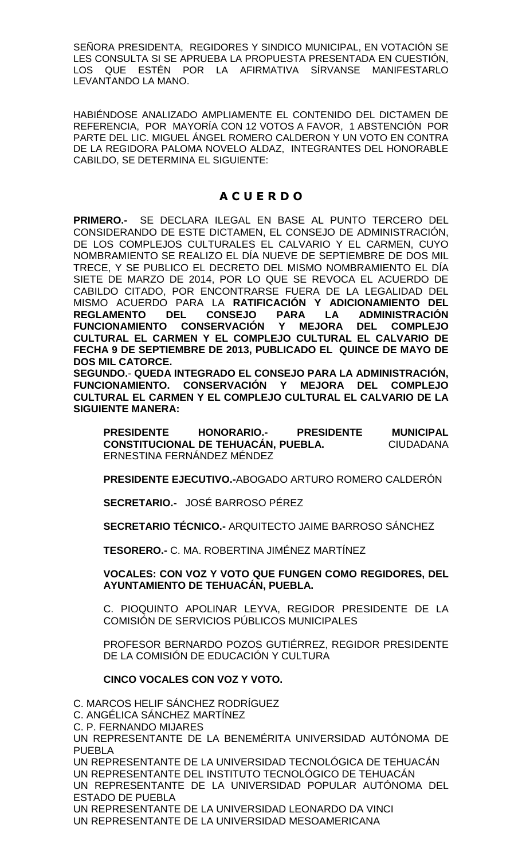SEÑORA PRESIDENTA, REGIDORES Y SINDICO MUNICIPAL, EN VOTACIÓN SE LES CONSULTA SI SE APRUEBA LA PROPUESTA PRESENTADA EN CUESTIÓN, LOS QUE ESTÉN POR LA AFIRMATIVA SÍRVANSE MANIFESTARLO LEVANTANDO LA MANO.

HABIÉNDOSE ANALIZADO AMPLIAMENTE EL CONTENIDO DEL DICTAMEN DE REFERENCIA, POR MAYORÍA CON 12 VOTOS A FAVOR, 1 ABSTENCIÓN POR PARTE DEL LIC. MIGUEL ÁNGEL ROMERO CALDERON Y UN VOTO EN CONTRA DE LA REGIDORA PALOMA NOVELO ALDAZ, INTEGRANTES DEL HONORABLE CABILDO, SE DETERMINA EL SIGUIENTE:

## **A C U E R D O**

**PRIMERO.-** SE DECLARA ILEGAL EN BASE AL PUNTO TERCERO DEL CONSIDERANDO DE ESTE DICTAMEN, EL CONSEJO DE ADMINISTRACIÓN, DE LOS COMPLEJOS CULTURALES EL CALVARIO Y EL CARMEN, CUYO NOMBRAMIENTO SE REALIZO EL DÍA NUEVE DE SEPTIEMBRE DE DOS MIL TRECE, Y SE PUBLICO EL DECRETO DEL MISMO NOMBRAMIENTO EL DÍA SIETE DE MARZO DE 2014, POR LO QUE SE REVOCA EL ACUERDO DE CABILDO CITADO, POR ENCONTRARSE FUERA DE LA LEGALIDAD DEL MISMO ACUERDO PARA LA **RATIFICACIÓN Y ADICIONAMIENTO DEL REGLAMENTO DEL CONSEJO PARA LA ADMINISTRACIÓN FUNCIONAMIENTO CONSERVACIÓN Y MEJORA DEL COMPLEJO CULTURAL EL CARMEN Y EL COMPLEJO CULTURAL EL CALVARIO DE FECHA 9 DE SEPTIEMBRE DE 2013, PUBLICADO EL QUINCE DE MAYO DE DOS MIL CATORCE.**

**SEGUNDO.**- **QUEDA INTEGRADO EL CONSEJO PARA LA ADMINISTRACIÓN, FUNCIONAMIENTO. CONSERVACIÓN Y MEJORA DEL COMPLEJO CULTURAL EL CARMEN Y EL COMPLEJO CULTURAL EL CALVARIO DE LA SIGUIENTE MANERA:** 

**PRESIDENTE HONORARIO.- PRESIDENTE MUNICIPAL CONSTITUCIONAL DE TEHUACÁN, PUEBLA.** CIUDADANA ERNESTINA FERNÁNDEZ MÉNDEZ

**PRESIDENTE EJECUTIVO.-**ABOGADO ARTURO ROMERO CALDERÓN

**SECRETARIO.-** JOSÉ BARROSO PÉREZ

**SECRETARIO TÉCNICO.-** ARQUITECTO JAIME BARROSO SÁNCHEZ

**TESORERO.-** C. MA. ROBERTINA JIMÉNEZ MARTÍNEZ

## **VOCALES: CON VOZ Y VOTO QUE FUNGEN COMO REGIDORES, DEL AYUNTAMIENTO DE TEHUACÁN, PUEBLA.**

C. PIOQUINTO APOLINAR LEYVA, REGIDOR PRESIDENTE DE LA COMISIÓN DE SERVICIOS PÚBLICOS MUNICIPALES

PROFESOR BERNARDO POZOS GUTIÉRREZ, REGIDOR PRESIDENTE DE LA COMISIÓN DE EDUCACIÓN Y CULTURA

## **CINCO VOCALES CON VOZ Y VOTO.**

C. MARCOS HELIF SÁNCHEZ RODRÍGUEZ C. ANGÉLICA SÁNCHEZ MARTÍNEZ C. P. FERNANDO MIJARES UN REPRESENTANTE DE LA BENEMÉRITA UNIVERSIDAD AUTÓNOMA DE PUEBLA UN REPRESENTANTE DE LA UNIVERSIDAD TECNOLÓGICA DE TEHUACÁN UN REPRESENTANTE DEL INSTITUTO TECNOLÓGICO DE TEHUACÁN UN REPRESENTANTE DE LA UNIVERSIDAD POPULAR AUTÓNOMA DEL ESTADO DE PUEBLA UN REPRESENTANTE DE LA UNIVERSIDAD LEONARDO DA VINCI UN REPRESENTANTE DE LA UNIVERSIDAD MESOAMERICANA